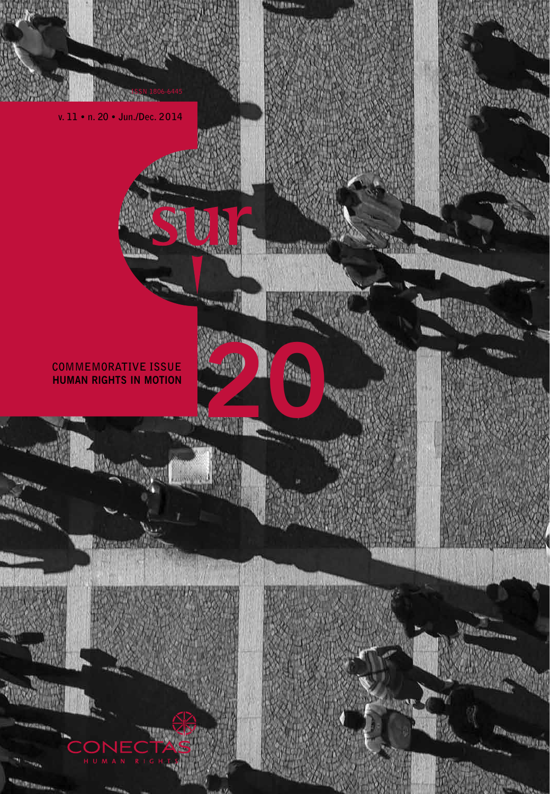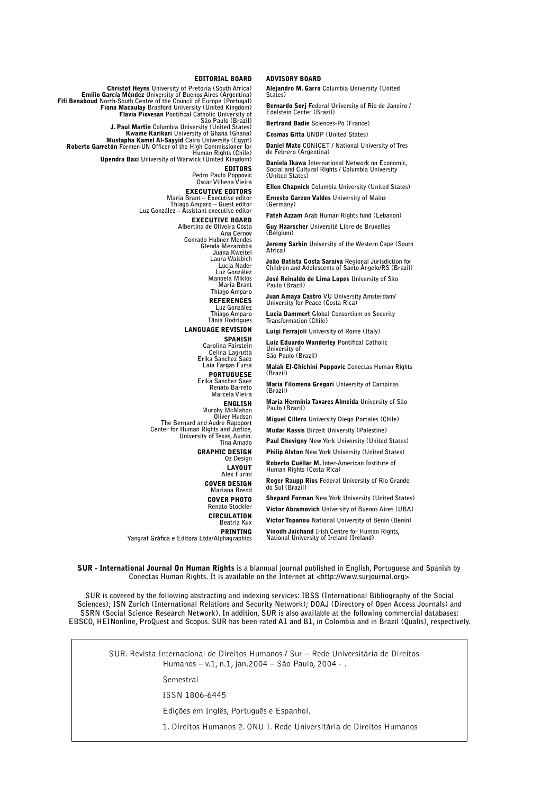**EDITORIAL BOARD Christof Heyns University of Pretoria (South Africa) Emilio García Méndez University of Buenos Aires (Argentina) Fifi Benaboud North-South Centre of the Council of Europe (Portugal) Fiona Macaulay** Bradford University (United Kingdom)<br>**Flavia Piovesan** Pontifical Catholic University of **São Paulo (Brazil) J. Paul Martin Columbia University (United States) Kwame Karikari University of Ghana (Ghana) Mustapha Kamel Al-Sayyid Cairo University (Egypt) Roberto Garretón Former-UN Offi cer of the High Commissioner for Human Rights (Chile) Upendra Baxi University of Warwick (United Kingdom) EDITORS Pedro Paulo Poppovic Oscar Vilhena Vieira EXECUTIVE EDITORS Maria Brant – Executive editor Thiago Amparo – Guest editor Luz González – Assistant executive editor EXECUTIVE BOARD Albertina de Oliveira Costa Ana Cernov Conrado Hubner Mendes Glenda Mezarobba Juana Kweitel Laura Waisbich Lucia Nader Luz González Manoela Miklos Maria Brant Thiago Amparo REFERENCES Luz González Thiago Amparo Tânia Rodrigues LANGUAGE REVISION SPANISH Carolina Fairstein Celina Lagrutta Erika Sanchez Saez Laia Fargas Fursa PORTUGUESE Erika Sanchez Saez Renato Barreto Marcela Vieira ENGLISH Murphy McMahon Oliver Hudson The Bernard and Audre Rapoport Center for Human Rights and Justice, University of Texas, Austin. Tina Amado GRAPHIC DESIGN Oz Design LAYOUT Alex Furini COVER DESIGN Mariana Brend COVER PHOTO Renato Stockler CIRCULATION Beatriz Kux PRINTING Yangraf Gráfica e Editora Ltda/Alphagraphics ADVISORY BOARD Alejandro M. Garro Columbia University (United States) Bernardo Sorj Federal University of Rio de Janeiro / Edelstein Center (Brazil) Bertrand Badie Sciences-Po (France) Cosmas Gitta UNDP (United States) Daniel Mato CONICET / National University of Tres de Febrero (Argentina) Daniela Ikawa International Network on Economic, Social and Cultural Rights / Columbia University (United States) Ellen Chapnick Columbia University (United States) Ernesto Garzon Valdes University of Mainz (Germany) Fateh Azzam Arab Human Rights fund (Lebanon) Guy Haarscher Université Libre de Bruxelles (Belgium) Jeremy Sarkin University of the Western Cape (South Africa) João Batista Costa Saraiva Regional Jurisdiction for Children and Adolescents of Santo Ângelo/RS (Brazil) José Reinaldo de Lima Lopes University of São Paulo (Brazil) Juan Amaya Castro VU University Amsterdam/ University for Peace (Costa Rica) Lucia Dammert Global Consortium on Security Transformation (Chile) Luigi Ferrajoli University of Rome (Italy) Luiz Eduardo Wanderley Pontifical Catholic University of São Paulo (Brazil) Malak El-Chichini Poppovic Conectas Human Rights (Brazil) Maria Filomena Gregori University of Campinas (Brazil) Maria Hermínia Tavares Almeida University of São Paulo (Brazil) Miguel Cillero University Diego Portales (Chile) Mudar Kassis Birzeit University (Palestine) Paul Chevigny New York University (United States) Philip Alston New York University (United States) Roberto Cuéllar M. Inter-American Institute of Human Rights (Costa Rica) Roger Raupp Rios Federal University of Rio Grande do Sul (Brazil) Shepard Forman New York University (United States) Victor Abramovich University of Buenos Aires (UBA) Victor Topanou National University of Benin (Benin) Vinodh Jaichand Irish Centre for Human Rights, National University of Ireland (Ireland)**

**SUR - International Journal On Human Rights is a biannual journal published in English, Portuguese and Spanish by Conectas Human Rights. It is available on the Internet at <http://www.surjournal.org>**

**SUR is covered by the following abstracting and indexing services: IBSS (International Bibliography of the Social Sciences); ISN Zurich (International Relations and Security Network); DOAJ (Directory of Open Access Journals) and SSRN (Social Science Research Network). In addition, SUR is also available at the following commercial databases: EBSCO, HEINonline, ProQuest and Scopus. SUR has been rated A1 and B1, in Colombia and in Brazil (Qualis), respectively.**

SUR. Revista Internacional de Direitos Humanos / Sur – Rede Universitária de Direitos Humanos – v.1, n.1, jan.2004 – São Paulo, 2004 - .

Semestral

ISSN 1806-6445

Edições em Inglês, Português e Espanhol.

1. Direitos Humanos 2. ONU I. Rede Universitária de Direitos Humanos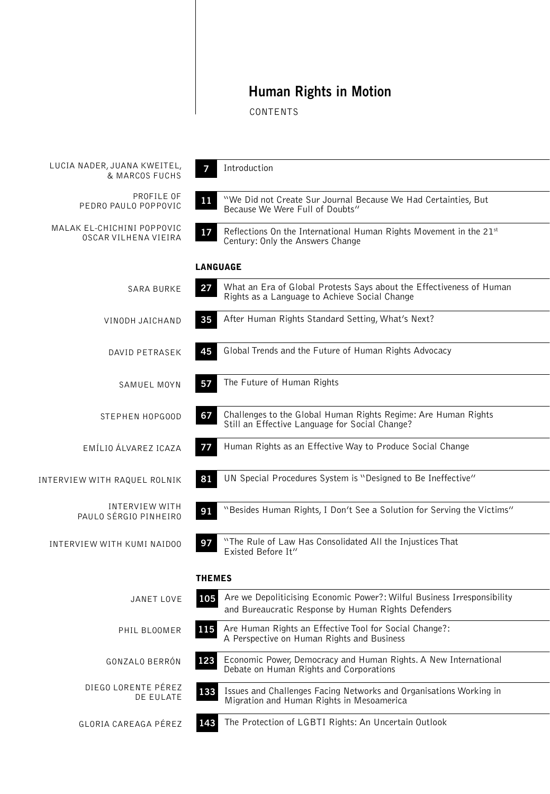# **Human Rights in Motion**

CONTENTS

| LUCIA NADER, JUANA KWEITEL,<br>& MARCOS FUCHS      | Introduction<br>7                                                                                                                     |
|----------------------------------------------------|---------------------------------------------------------------------------------------------------------------------------------------|
| PROFILE OF<br>PEDRO PAULO POPPOVIC                 | "We Did not Create Sur Journal Because We Had Certainties, But<br>11<br>Because We Were Full of Doubts"                               |
| MALAK EL-CHICHINI POPPOVIC<br>OSCAR VILHENA VIEIRA | Reflections On the International Human Rights Movement in the 21st<br>17<br>Century: Only the Answers Change                          |
|                                                    | <b>LANGUAGE</b>                                                                                                                       |
| <b>SARA BURKE</b>                                  | What an Era of Global Protests Says about the Effectiveness of Human<br>27<br>Rights as a Language to Achieve Social Change           |
| VINODH JAICHAND                                    | After Human Rights Standard Setting, What's Next?<br>35                                                                               |
| DAVID PETRASEK                                     | Global Trends and the Future of Human Rights Advocacy<br>45                                                                           |
| SAMUEL MOYN                                        | The Future of Human Rights<br>57                                                                                                      |
| STEPHEN HOPGOOD                                    | Challenges to the Global Human Rights Regime: Are Human Rights<br>67<br>Still an Effective Language for Social Change?                |
| EMÍLIO ÁLVAREZ ICAZA                               | Human Rights as an Effective Way to Produce Social Change<br>77                                                                       |
| INTERVIEW WITH RAQUEL ROLNIK                       | UN Special Procedures System is "Designed to Be Ineffective"<br>81                                                                    |
| <b>INTERVIEW WITH</b><br>PAULO SÉRGIO PINHEIRO     | "Besides Human Rights, I Don't See a Solution for Serving the Victims"<br>91                                                          |
| INTERVIEW WITH KUMI NAIDOO                         | "The Rule of Law Has Consolidated All the Injustices That<br>97<br>Existed Before It"                                                 |
|                                                    | <b>THEMES</b>                                                                                                                         |
| JANET LOVE                                         | Are we Depoliticising Economic Power?: Wilful Business Irresponsibility<br>105<br>and Bureaucratic Response by Human Rights Defenders |
| PHIL BLOOMER                                       | Are Human Rights an Effective Tool for Social Change?:<br>115<br>A Perspective on Human Rights and Business                           |
| GONZALO BERRÓN                                     | Economic Power, Democracy and Human Rights. A New International<br>123<br>Debate on Human Rights and Corporations                     |
| DIEGO LORENTE PÉREZ<br>DE EULATE                   | Issues and Challenges Facing Networks and Organisations Working in<br>133<br>Migration and Human Rights in Mesoamerica                |
| GLORIA CAREAGA PÉREZ                               | The Protection of LGBTI Rights: An Uncertain Outlook<br>143                                                                           |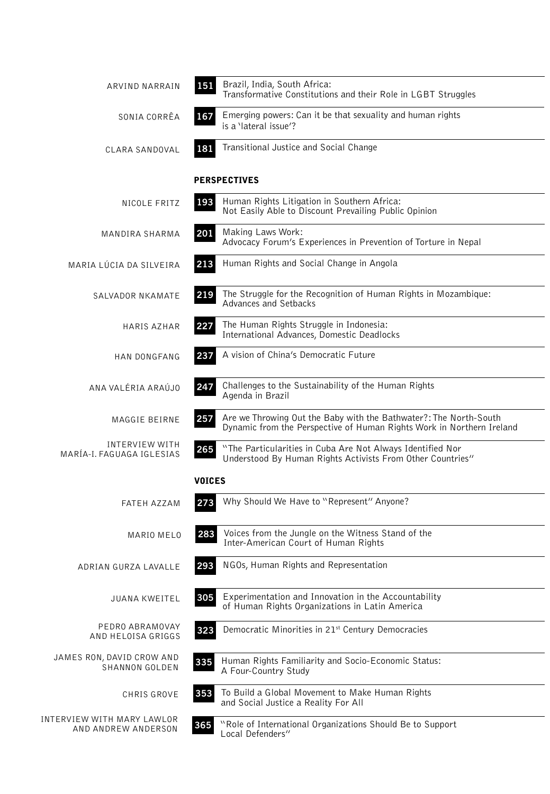| Brazil, India, South Africa:<br>151<br>Transformative Constitutions and their Role in LGBT Struggles                                              |
|---------------------------------------------------------------------------------------------------------------------------------------------------|
| Emerging powers: Can it be that sexuality and human rights<br>167<br>is a 'lateral issue'?                                                        |
| Transitional Justice and Social Change<br>181                                                                                                     |
| <b>PERSPECTIVES</b>                                                                                                                               |
| Human Rights Litigation in Southern Africa:<br>193<br>Not Easily Able to Discount Prevailing Public Opinion                                       |
| Making Laws Work:<br>201<br>Advocacy Forum's Experiences in Prevention of Torture in Nepal                                                        |
| Human Rights and Social Change in Angola<br>213                                                                                                   |
| The Struggle for the Recognition of Human Rights in Mozambique:<br>219<br>Advances and Setbacks                                                   |
| The Human Rights Struggle in Indonesia:<br>227<br>International Advances, Domestic Deadlocks                                                      |
| A vision of China's Democratic Future<br>237                                                                                                      |
| Challenges to the Sustainability of the Human Rights<br>247<br>Agenda in Brazil                                                                   |
| Are we Throwing Out the Baby with the Bathwater?: The North-South<br>257<br>Dynamic from the Perspective of Human Rights Work in Northern Ireland |
| "The Particularities in Cuba Are Not Always Identified Nor<br>265<br>Understood By Human Rights Activists From Other Countries"                   |
| <b>VOICES</b>                                                                                                                                     |
| Why Should We Have to "Represent" Anyone?<br>273                                                                                                  |
| Voices from the Jungle on the Witness Stand of the<br>283<br>Inter-American Court of Human Rights                                                 |
| NGOs, Human Rights and Representation<br>293                                                                                                      |
| Experimentation and Innovation in the Accountability<br>305<br>of Human Rights Organizations in Latin America                                     |
| Democratic Minorities in 21 <sup>st</sup> Century Democracies<br>323                                                                              |
| Human Rights Familiarity and Socio-Economic Status:<br>335<br>A Four-Country Study                                                                |
| To Build a Global Movement to Make Human Rights<br>353<br>and Social Justice a Reality For All                                                    |
| "Role of International Organizations Should Be to Support<br>365<br>Local Defenders"                                                              |
|                                                                                                                                                   |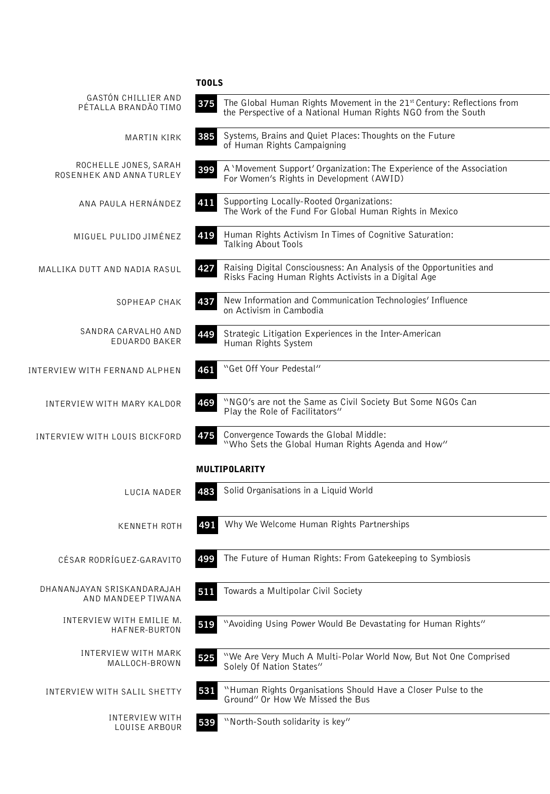## **TOOLS**

| <b>GASTÓN CHILLIER AND</b><br>PÉTALLA BRANDÃO TIMO | The Global Human Rights Movement in the 21 <sup>st</sup> Century: Reflections from<br>375<br>the Perspective of a National Human Rights NGO from the South |
|----------------------------------------------------|------------------------------------------------------------------------------------------------------------------------------------------------------------|
| <b>MARTIN KIRK</b>                                 | Systems, Brains and Quiet Places: Thoughts on the Future<br>385<br>of Human Rights Campaigning                                                             |
| ROCHELLE JONES, SARAH<br>ROSENHEK AND ANNATURLEY   | A 'Movement Support' Organization: The Experience of the Association<br>399<br>For Women's Rights in Development (AWID)                                    |
| ANA PAULA HERNÁNDEZ                                | Supporting Locally-Rooted Organizations:<br>411<br>The Work of the Fund For Global Human Rights in Mexico                                                  |
| MIGUEL PULIDO JIMÉNEZ                              | Human Rights Activism In Times of Cognitive Saturation:<br>419<br><b>Talking About Tools</b>                                                               |
| MALLIKA DUTT AND NADIA RASUL                       | Raising Digital Consciousness: An Analysis of the Opportunities and<br>427<br>Risks Facing Human Rights Activists in a Digital Age                         |
| SOPHEAP CHAK                                       | New Information and Communication Technologies' Influence<br>437<br>on Activism in Cambodia                                                                |
| SANDRA CARVALHO AND<br>EDUARDO BAKER               | Strategic Litigation Experiences in the Inter-American<br>449<br>Human Rights System                                                                       |
| INTERVIEW WITH FERNAND ALPHEN                      | "Get Off Your Pedestal"<br>461                                                                                                                             |
| INTERVIEW WITH MARY KALDOR                         | "NGO's are not the Same as Civil Society But Some NGOs Can<br>469<br>Play the Role of Facilitators"                                                        |
| INTERVIEW WITH LOUIS BICKFORD                      | Convergence Towards the Global Middle:<br>475<br>"Who Sets the Global Human Rights Agenda and How"                                                         |
|                                                    | <b>MULTIPOLARITY</b>                                                                                                                                       |
| LUCIA NADER                                        | Solid Organisations in a Liquid World<br>483                                                                                                               |
| <b>KENNETH ROTH</b>                                | Why We Welcome Human Rights Partnerships<br>491                                                                                                            |
| CÉSAR RODRÍGUEZ-GARAVITO                           | The Future of Human Rights: From Gatekeeping to Symbiosis<br>499                                                                                           |
| DHANANJAYAN SRISKANDARAJAH<br>AND MANDEEP TIWANA   | Towards a Multipolar Civil Society<br>51                                                                                                                   |
| INTERVIEW WITH EMILIE M.<br>HAFNER-BURTON          | "Avoiding Using Power Would Be Devastating for Human Rights"<br>519                                                                                        |
| INTERVIEW WITH MARK<br>MALLOCH-BROWN               | "We Are Very Much A Multi-Polar World Now, But Not One Comprised<br>525<br>Solely Of Nation States"                                                        |
| INTERVIEW WITH SALIL SHETTY                        | "Human Rights Organisations Should Have a Closer Pulse to the<br>531<br>Ground" Or How We Missed the Bus                                                   |
| <b>INTERVIEW WITH</b><br>LOUISE ARBOUR             | "North-South solidarity is key"<br>539                                                                                                                     |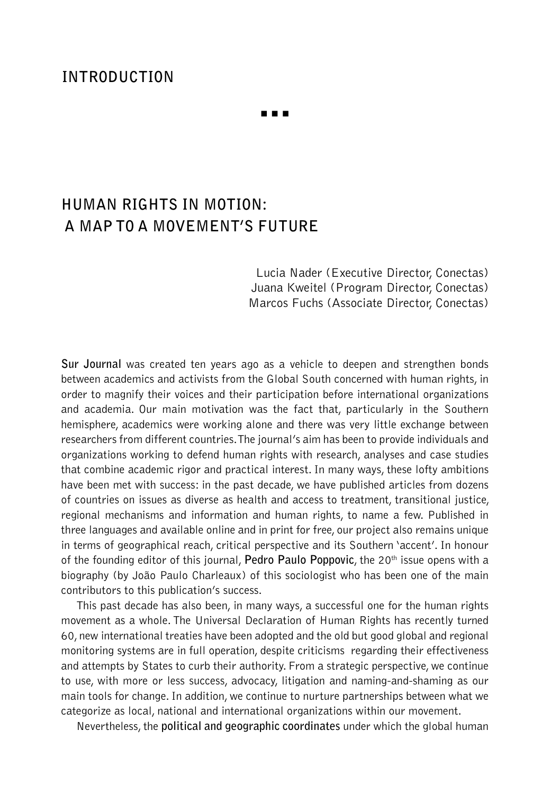# **INTRODUCTION**

■ ■ ■

# **HUMAN RIGHTS IN MOTION: A MAP TO A MOVEMENT'S FUTURE**

Lucia Nader (Executive Director, Conectas) Juana Kweitel (Program Director, Conectas) Marcos Fuchs (Associate Director, Conectas)

**Sur Journal** was created ten years ago as a vehicle to deepen and strengthen bonds between academics and activists from the Global South concerned with human rights, in order to magnify their voices and their participation before international organizations and academia. Our main motivation was the fact that, particularly in the Southern hemisphere, academics were working alone and there was very little exchange between researchers from different countries. The journal's aim has been to provide individuals and organizations working to defend human rights with research, analyses and case studies that combine academic rigor and practical interest. In many ways, these lofty ambitions have been met with success: in the past decade, we have published articles from dozens of countries on issues as diverse as health and access to treatment, transitional justice, regional mechanisms and information and human rights, to name a few. Published in three languages and available online and in print for free, our project also remains unique in terms of geographical reach, critical perspective and its Southern 'accent'. In honour of the founding editor of this journal, **Pedro Paulo Poppovic**, the 20th issue opens with a biography (by João Paulo Charleaux) of this sociologist who has been one of the main contributors to this publication's success.

This past decade has also been, in many ways, a successful one for the human rights movement as a whole. The Universal Declaration of Human Rights has recently turned 60, new international treaties have been adopted and the old but good global and regional monitoring systems are in full operation, despite criticisms regarding their effectiveness and attempts by States to curb their authority. From a strategic perspective, we continue to use, with more or less success, advocacy, litigation and naming-and-shaming as our main tools for change. In addition, we continue to nurture partnerships between what we categorize as local, national and international organizations within our movement.

Nevertheless, the **political and geographic coordinates** under which the global human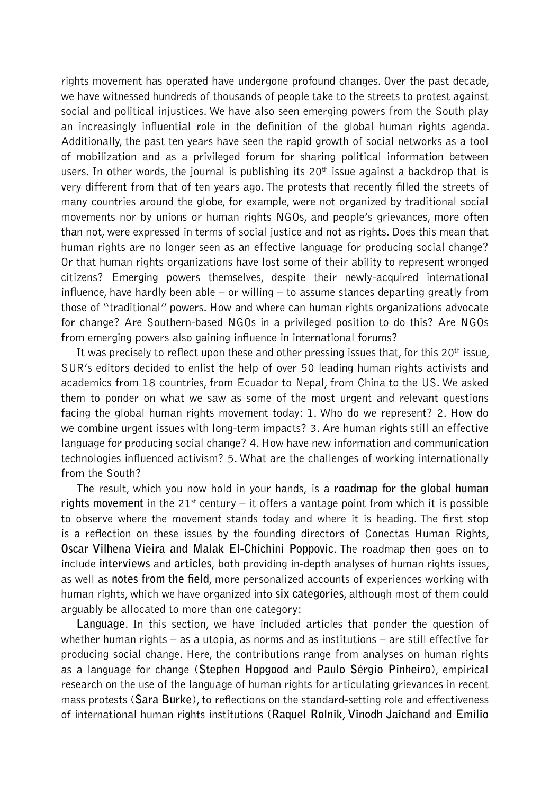rights movement has operated have undergone profound changes. Over the past decade, we have witnessed hundreds of thousands of people take to the streets to protest against social and political injustices. We have also seen emerging powers from the South play an increasingly influential role in the definition of the global human rights agenda. Additionally, the past ten years have seen the rapid growth of social networks as a tool of mobilization and as a privileged forum for sharing political information between users. In other words, the journal is publishing its  $20<sup>th</sup>$  issue against a backdrop that is very different from that of ten years ago. The protests that recently filled the streets of many countries around the globe, for example, were not organized by traditional social movements nor by unions or human rights NGOs, and people's grievances, more often than not, were expressed in terms of social justice and not as rights. Does this mean that human rights are no longer seen as an effective language for producing social change? Or that human rights organizations have lost some of their ability to represent wronged citizens? Emerging powers themselves, despite their newly-acquired international influence, have hardly been able  $-$  or willing  $-$  to assume stances departing greatly from those of "traditional" powers. How and where can human rights organizations advocate for change? Are Southern-based NGOs in a privileged position to do this? Are NGOs from emerging powers also gaining influence in international forums?

It was precisely to reflect upon these and other pressing issues that, for this  $20<sup>th</sup>$  issue, SUR's editors decided to enlist the help of over 50 leading human rights activists and academics from 18 countries, from Ecuador to Nepal, from China to the US. We asked them to ponder on what we saw as some of the most urgent and relevant questions facing the global human rights movement today: 1. Who do we represent? 2. How do we combine urgent issues with long-term impacts? 3. Are human rights still an effective language for producing social change? 4. How have new information and communication technologies influenced activism? 5. What are the challenges of working internationally from the South?

The result, which you now hold in your hands, is a **roadmap for the global human rights movement** in the  $21^{st}$  century – it offers a vantage point from which it is possible to observe where the movement stands today and where it is heading. The first stop is a reflection on these issues by the founding directors of Conectas Human Rights, **Oscar Vilhena Vieira and Malak El-Chichini Poppovic**. The roadmap then goes on to include **interviews** and **articles**, both providing in-depth analyses of human rights issues, as well as **notes from the field**, more personalized accounts of experiences working with human rights, which we have organized into **six categories**, although most of them could arguably be allocated to more than one category:

**Language**. In this section, we have included articles that ponder the question of whether human rights – as a utopia, as norms and as institutions – are still effective for producing social change. Here, the contributions range from analyses on human rights as a language for change (**Stephen Hopgood** and **Paulo Sérgio Pinheiro**), empirical research on the use of the language of human rights for articulating grievances in recent mass protests (Sara Burke), to reflections on the standard-setting role and effectiveness of international human rights institutions (**Raquel Rolnik, Vinodh Jaichand** and **Emílio**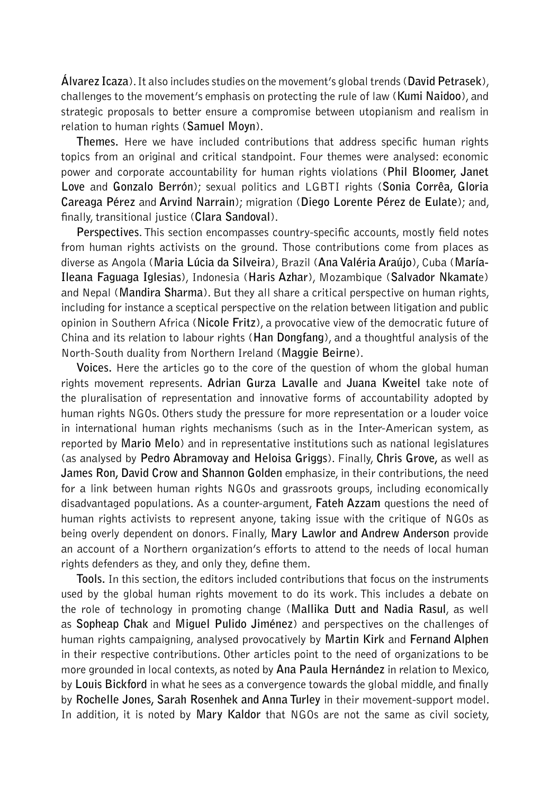**Álvarez Icaza**). It also includes studies on the movement's global trends (**David Petrasek**), challenges to the movement's emphasis on protecting the rule of law (**Kumi Naidoo**), and strategic proposals to better ensure a compromise between utopianism and realism in relation to human rights (**Samuel Moyn**).

**Themes.** Here we have included contributions that address specific human rights topics from an original and critical standpoint. Four themes were analysed: economic power and corporate accountability for human rights violations (**Phil Bloomer, Janet Love** and **Gonzalo Berrón**); sexual politics and LGBTI rights (**Sonia Corrêa, Gloria Careaga Pérez** and **Arvind Narrain**); migration (**Diego Lorente Pérez de Eulate**); and, finally, transitional justice (Clara Sandoval).

Perspectives. This section encompasses country-specific accounts, mostly field notes from human rights activists on the ground. Those contributions come from places as diverse as Angola (**Maria Lúcia da Silveira**), Brazil (**Ana Valéria Araújo**), Cuba (**María-Ileana Faguaga Iglesias**), Indonesia (**Haris Azhar**), Mozambique (**Salvador Nkamat**e) and Nepal (**Mandira Sharma**). But they all share a critical perspective on human rights, including for instance a sceptical perspective on the relation between litigation and public opinion in Southern Africa (**Nicole Fritz**), a provocative view of the democratic future of China and its relation to labour rights (**Han Dongfang**), and a thoughtful analysis of the North-South duality from Northern Ireland (**Maggie Beirne**).

**Voices.** Here the articles go to the core of the question of whom the global human rights movement represents. **Adrian Gurza Lavalle** and **Juana Kweitel** take note of the pluralisation of representation and innovative forms of accountability adopted by human rights NGOs. Others study the pressure for more representation or a louder voice in international human rights mechanisms (such as in the Inter-American system, as reported by **Mario Melo**) and in representative institutions such as national legislatures (as analysed by **Pedro Abramovay and Heloisa Griggs**). Finally, **Chris Grove,** as well as **James Ron, David Crow and Shannon Golden** emphasize, in their contributions, the need for a link between human rights NGOs and grassroots groups, including economically disadvantaged populations. As a counter-argument, **Fateh Azzam** questions the need of human rights activists to represent anyone, taking issue with the critique of NGOs as being overly dependent on donors. Finally, **Mary Lawlor and Andrew Anderson** provide an account of a Northern organization's efforts to attend to the needs of local human rights defenders as they, and only they, define them.

**Tools.** In this section, the editors included contributions that focus on the instruments used by the global human rights movement to do its work. This includes a debate on the role of technology in promoting change (**Mallika Dutt and Nadia Rasul**, as well as **Sopheap Chak** and **Miguel Pulido Jiménez**) and perspectives on the challenges of human rights campaigning, analysed provocatively by **Martin Kirk** and **Fernand Alphen** in their respective contributions. Other articles point to the need of organizations to be more grounded in local contexts, as noted by **Ana Paula Hernández** in relation to Mexico, by **Louis Bickford** in what he sees as a convergence towards the global middle, and finally by **Rochelle Jones, Sarah Rosenhek and Anna Turley** in their movement-support model. In addition, it is noted by **Mary Kaldor** that NGOs are not the same as civil society,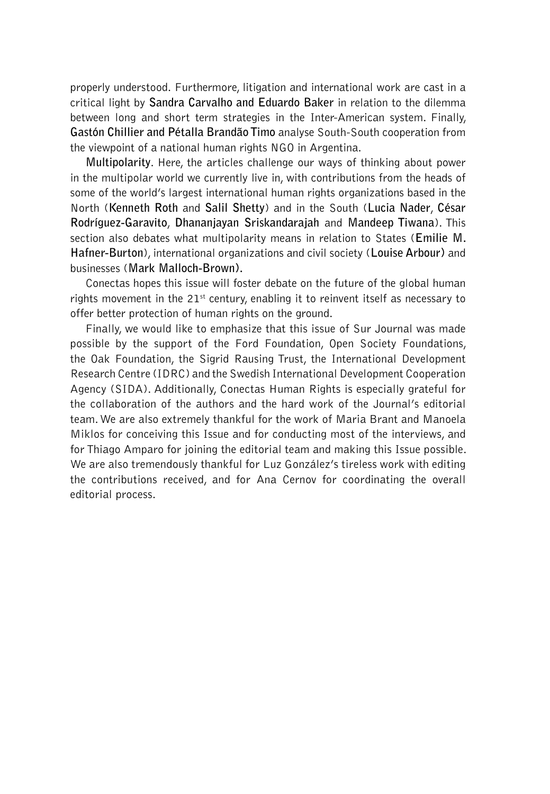properly understood. Furthermore, litigation and international work are cast in a critical light by **Sandra Carvalho and Eduardo Baker** in relation to the dilemma between long and short term strategies in the Inter-American system. Finally, **Gastón Chillier and Pétalla Brandão Timo** analyse South-South cooperation from the viewpoint of a national human rights NGO in Argentina.

**Multipolarity**. Here, the articles challenge our ways of thinking about power in the multipolar world we currently live in, with contributions from the heads of some of the world's largest international human rights organizations based in the North (**Kenneth Roth** and **Salil Shetty**) and in the South (**Lucia Nader**, **César Rodríguez-Garavito**, **Dhananjayan Sriskandarajah** and **Mandeep Tiwana**). This section also debates what multipolarity means in relation to States (**Emilie M. Hafner-Burton**), international organizations and civil society (**Louise Arbour)** and businesses (**Mark Malloch-Brown).**

Conectas hopes this issue will foster debate on the future of the global human rights movement in the 21 $<sup>st</sup>$  century, enabling it to reinvent itself as necessary to</sup> offer better protection of human rights on the ground.

Finally, we would like to emphasize that this issue of Sur Journal was made possible by the support of the Ford Foundation, Open Society Foundations, the Oak Foundation, the Sigrid Rausing Trust, the International Development Research Centre (IDRC) and the Swedish International Development Cooperation Agency (SIDA). Additionally, Conectas Human Rights is especially grateful for the collaboration of the authors and the hard work of the Journal's editorial team. We are also extremely thankful for the work of Maria Brant and Manoela Miklos for conceiving this Issue and for conducting most of the interviews, and for Thiago Amparo for joining the editorial team and making this Issue possible. We are also tremendously thankful for Luz González's tireless work with editing the contributions received, and for Ana Cernov for coordinating the overall editorial process.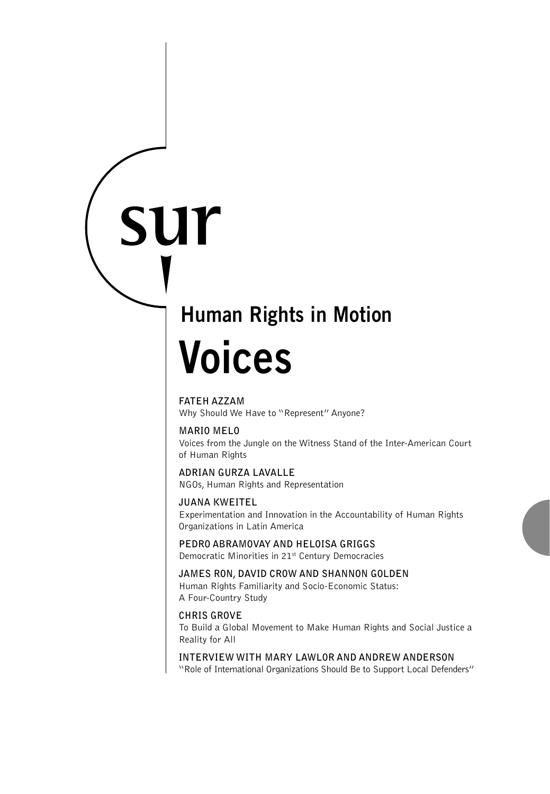# **Human Rights in Motion**

# **Voices**

## **FATEH AZZAM** Why Should We Have to "Represent" Anyone?

# **MARIO MELO**

**SUr** 

Voices from the Jungle on the Witness Stand of the Inter-American Court of Human Rights

#### **ADRIAN GURZA LAVALLE** NGOs, Human Rights and Representation

# **JUANA KWEITEL**

Experimentation and Innovation in the Accountability of Human Rights Organizations in Latin America

**PEDRO ABRAMOVAY AND HELOISA GRIGGS** Democratic Minorities in 21<sup>st</sup> Century Democracies

**JAMES RON, DAVID CROW AND SHANNON GOLDEN** Human Rights Familiarity and Socio-Economic Status: A Four-Country Study

## **CHRIS GROVE**

To Build a Global Movement to Make Human Rights and Social Justice a Reality for All

**INTERVIEW WITH MARY LAWLOR AND ANDREW ANDERSON** "Role of International Organizations Should Be to Support Local Defenders"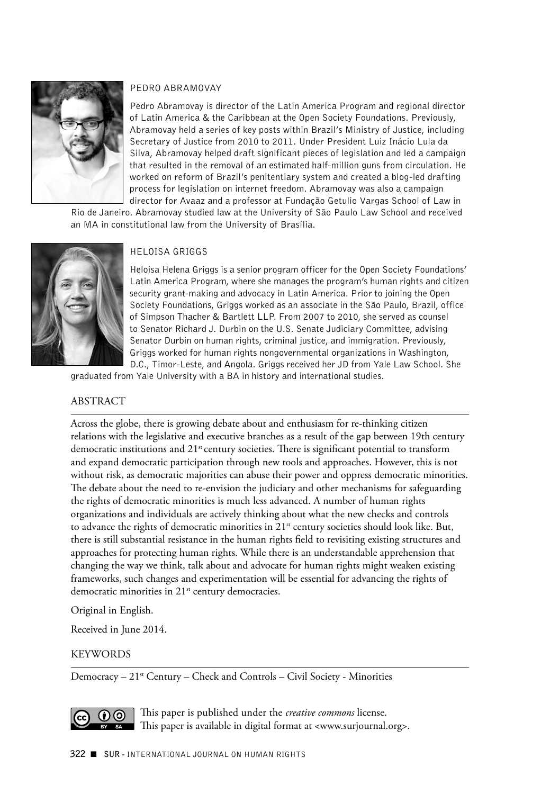

#### PEDRO ABRAMOVAY

Pedro Abramovay is director of the Latin America Program and regional director of Latin America & the Caribbean at the Open Society Foundations. Previously, Abramovay held a series of key posts within Brazil's Ministry of Justice, including Secretary of Justice from 2010 to 2011. Under President Luiz Inácio Lula da Silva, Abramovay helped draft significant pieces of legislation and led a campaign that resulted in the removal of an estimated half-million guns from circulation. He worked on reform of Brazil's penitentiary system and created a blog-led drafting process for legislation on internet freedom. Abramovay was also a campaign director for Avaaz and a professor at Fundação Getulio Vargas School of Law in

Rio de Janeiro. Abramovay studied law at the University of São Paulo Law School and received an MA in constitutional law from the University of Brasília.



## HELOISA GRIGGS

Heloisa Helena Griggs is a senior program officer for the Open Society Foundations' Latin America Program, where she manages the program's human rights and citizen security grant-making and advocacy in Latin America. Prior to joining the Open Society Foundations, Griggs worked as an associate in the São Paulo, Brazil, office of Simpson Thacher & Bartlett LLP. From 2007 to 2010, she served as counsel to Senator Richard J. Durbin on the U.S. Senate Judiciary Committee, advising Senator Durbin on human rights, criminal justice, and immigration. Previously, Griggs worked for human rights nongovernmental organizations in Washington, D.C., Timor-Leste, and Angola. Griggs received her JD from Yale Law School. She

graduated from Yale University with a BA in history and international studies.

#### ABSTRACT

Across the globe, there is growing debate about and enthusiasm for re-thinking citizen relations with the legislative and executive branches as a result of the gap between 19th century democratic institutions and  $21<sup>st</sup>$  century societies. There is significant potential to transform and expand democratic participation through new tools and approaches. However, this is not without risk, as democratic majorities can abuse their power and oppress democratic minorities. The debate about the need to re-envision the judiciary and other mechanisms for safeguarding the rights of democratic minorities is much less advanced. A number of human rights organizations and individuals are actively thinking about what the new checks and controls to advance the rights of democratic minorities in 21<sup>st</sup> century societies should look like. But, there is still substantial resistance in the human rights field to revisiting existing structures and approaches for protecting human rights. While there is an understandable apprehension that changing the way we think, talk about and advocate for human rights might weaken existing frameworks, such changes and experimentation will be essential for advancing the rights of democratic minorities in 21<sup>st</sup> century democracies.

Original in English.

Received in June 2014.

#### KEYWORDS

Democracy – 21st Century – Check and Controls – Civil Society - Minorities



This paper is published under the *creative commons* license.  $\blacksquare$  This paper is available in digital format at <www.surjournal.org>.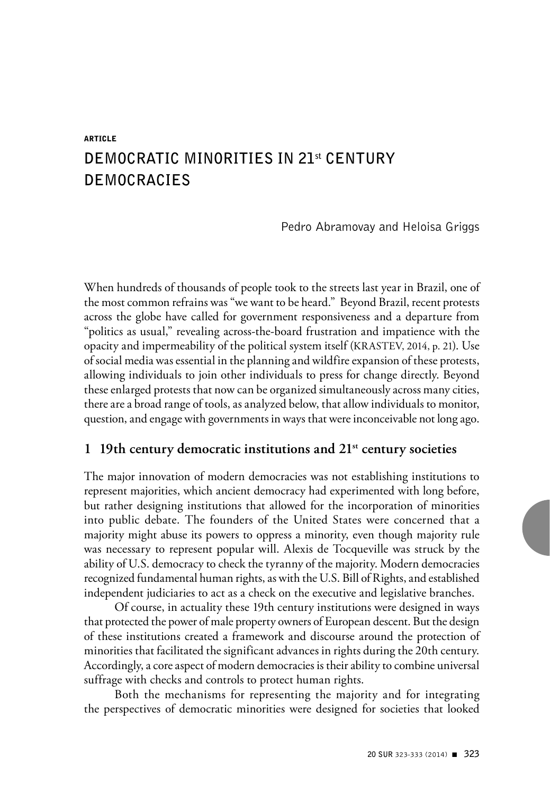# **DEMOCRATIC MINORITIES IN 21st CENTURY DEMOCRACIES ARTICLE**

Pedro Abramovay and Heloisa Griggs

When hundreds of thousands of people took to the streets last year in Brazil, one of the most common refrains was "we want to be heard." Beyond Brazil, recent protests across the globe have called for government responsiveness and a departure from "politics as usual," revealing across-the-board frustration and impatience with the opacity and impermeability of the political system itself (KRASTEV, 2014, p. 21). Use of social media was essential in the planning and wildfire expansion of these protests, allowing individuals to join other individuals to press for change directly. Beyond these enlarged protests that now can be organized simultaneously across many cities, there are a broad range of tools, as analyzed below, that allow individuals to monitor, question, and engage with governments in ways that were inconceivable not long ago.

# **1 19th century democratic institutions and 21st century societies**

The major innovation of modern democracies was not establishing institutions to represent majorities, which ancient democracy had experimented with long before, but rather designing institutions that allowed for the incorporation of minorities into public debate. The founders of the United States were concerned that a majority might abuse its powers to oppress a minority, even though majority rule was necessary to represent popular will. Alexis de Tocqueville was struck by the ability of U.S. democracy to check the tyranny of the majority. Modern democracies recognized fundamental human rights, as with the U.S. Bill of Rights, and established independent judiciaries to act as a check on the executive and legislative branches.

Of course, in actuality these 19th century institutions were designed in ways that protected the power of male property owners of European descent. But the design of these institutions created a framework and discourse around the protection of minorities that facilitated the significant advances in rights during the 20th century. Accordingly, a core aspect of modern democracies is their ability to combine universal suffrage with checks and controls to protect human rights.

Both the mechanisms for representing the majority and for integrating the perspectives of democratic minorities were designed for societies that looked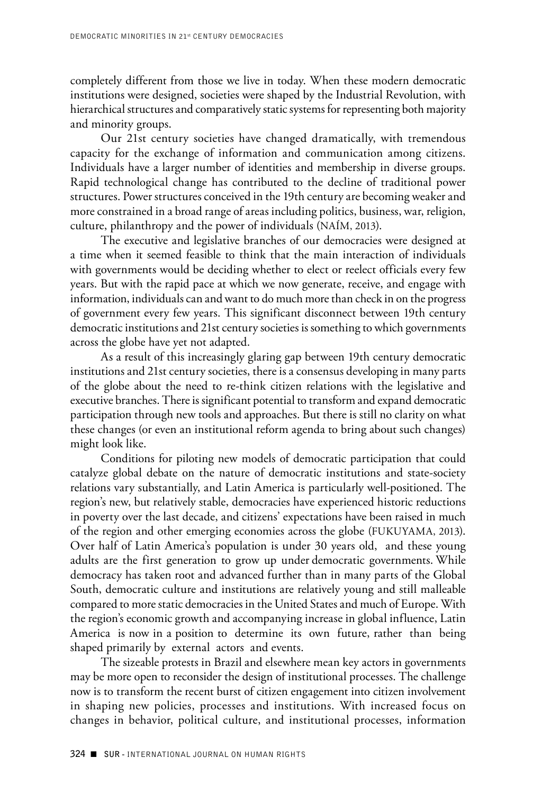completely different from those we live in today. When these modern democratic institutions were designed, societies were shaped by the Industrial Revolution, with hierarchical structures and comparatively static systems for representing both majority and minority groups.

Our 21st century societies have changed dramatically, with tremendous capacity for the exchange of information and communication among citizens. Individuals have a larger number of identities and membership in diverse groups. Rapid technological change has contributed to the decline of traditional power structures. Power structures conceived in the 19th century are becoming weaker and more constrained in a broad range of areas including politics, business, war, religion, culture, philanthropy and the power of individuals (NAÍM, 2013).

The executive and legislative branches of our democracies were designed at a time when it seemed feasible to think that the main interaction of individuals with governments would be deciding whether to elect or reelect officials every few years. But with the rapid pace at which we now generate, receive, and engage with information, individuals can and want to do much more than check in on the progress of government every few years. This significant disconnect between 19th century democratic institutions and 21st century societies is something to which governments across the globe have yet not adapted.

As a result of this increasingly glaring gap between 19th century democratic institutions and 21st century societies, there is a consensus developing in many parts of the globe about the need to re-think citizen relations with the legislative and executive branches. There is significant potential to transform and expand democratic participation through new tools and approaches. But there is still no clarity on what these changes (or even an institutional reform agenda to bring about such changes) might look like.

Conditions for piloting new models of democratic participation that could catalyze global debate on the nature of democratic institutions and state-society relations vary substantially, and Latin America is particularly well-positioned. The region's new, but relatively stable, democracies have experienced historic reductions in poverty over the last decade, and citizens' expectations have been raised in much of the region and other emerging economies across the globe (FUKUYAMA, 2013). Over half of Latin America's population is under 30 years old, and these young adults are the first generation to grow up under democratic governments. While democracy has taken root and advanced further than in many parts of the Global South, democratic culture and institutions are relatively young and still malleable compared to more static democracies in the United States and much of Europe. With the region's economic growth and accompanying increase in global influence, Latin America is now in a position to determine its own future, rather than being shaped primarily by external actors and events.

The sizeable protests in Brazil and elsewhere mean key actors in governments may be more open to reconsider the design of institutional processes. The challenge now is to transform the recent burst of citizen engagement into citizen involvement in shaping new policies, processes and institutions. With increased focus on changes in behavior, political culture, and institutional processes, information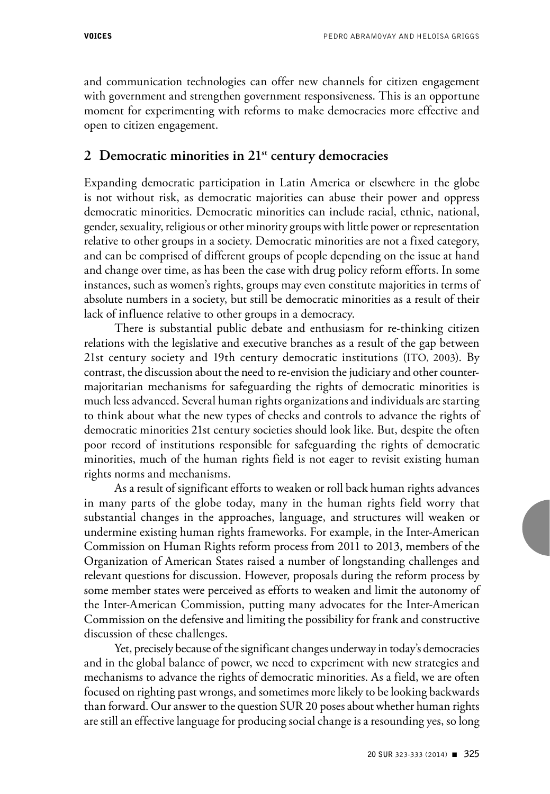and communication technologies can offer new channels for citizen engagement with government and strengthen government responsiveness. This is an opportune moment for experimenting with reforms to make democracies more effective and open to citizen engagement.

# **2 Democratic minorities in 21st century democracies**

Expanding democratic participation in Latin America or elsewhere in the globe is not without risk, as democratic majorities can abuse their power and oppress democratic minorities. Democratic minorities can include racial, ethnic, national, gender, sexuality, religious or other minority groups with little power or representation relative to other groups in a society. Democratic minorities are not a fixed category, and can be comprised of different groups of people depending on the issue at hand and change over time, as has been the case with drug policy reform efforts. In some instances, such as women's rights, groups may even constitute majorities in terms of absolute numbers in a society, but still be democratic minorities as a result of their lack of influence relative to other groups in a democracy.

There is substantial public debate and enthusiasm for re-thinking citizen relations with the legislative and executive branches as a result of the gap between 21st century society and 19th century democratic institutions (ITO, 2003). By contrast, the discussion about the need to re-envision the judiciary and other countermajoritarian mechanisms for safeguarding the rights of democratic minorities is much less advanced. Several human rights organizations and individuals are starting to think about what the new types of checks and controls to advance the rights of democratic minorities 21st century societies should look like. But, despite the often poor record of institutions responsible for safeguarding the rights of democratic minorities, much of the human rights field is not eager to revisit existing human rights norms and mechanisms.

As a result of significant efforts to weaken or roll back human rights advances in many parts of the globe today, many in the human rights field worry that substantial changes in the approaches, language, and structures will weaken or undermine existing human rights frameworks. For example, in the Inter-American Commission on Human Rights reform process from 2011 to 2013, members of the Organization of American States raised a number of longstanding challenges and relevant questions for discussion. However, proposals during the reform process by some member states were perceived as efforts to weaken and limit the autonomy of the Inter-American Commission, putting many advocates for the Inter-American Commission on the defensive and limiting the possibility for frank and constructive discussion of these challenges.

Yet, precisely because of the significant changes underway in today's democracies and in the global balance of power, we need to experiment with new strategies and mechanisms to advance the rights of democratic minorities. As a field, we are often focused on righting past wrongs, and sometimes more likely to be looking backwards than forward. Our answer to the question SUR 20 poses about whether human rights are still an effective language for producing social change is a resounding yes, so long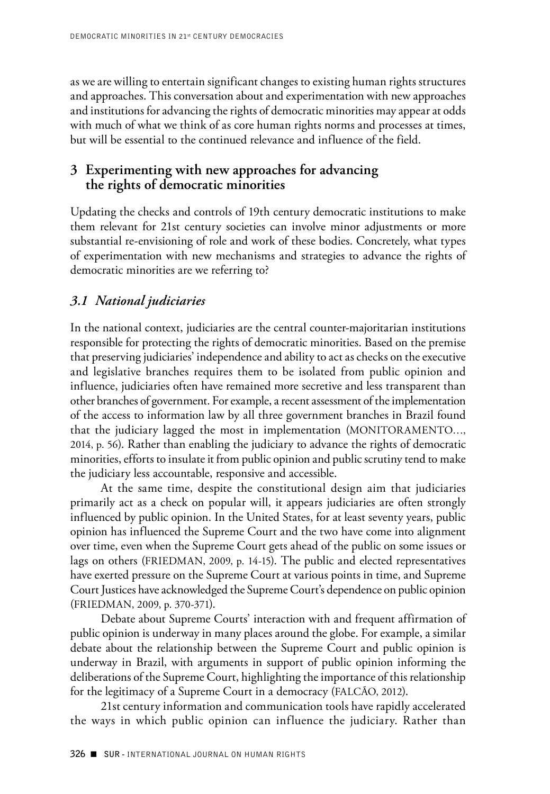as we are willing to entertain significant changes to existing human rights structures and approaches. This conversation about and experimentation with new approaches and institutions for advancing the rights of democratic minorities may appear at odds with much of what we think of as core human rights norms and processes at times, but will be essential to the continued relevance and influence of the field.

# **3 Experimenting with new approaches for advancing the rights of democratic minorities**

Updating the checks and controls of 19th century democratic institutions to make them relevant for 21st century societies can involve minor adjustments or more substantial re-envisioning of role and work of these bodies. Concretely, what types of experimentation with new mechanisms and strategies to advance the rights of democratic minorities are we referring to?

# *3.1 National judiciaries*

In the national context, judiciaries are the central counter-majoritarian institutions responsible for protecting the rights of democratic minorities. Based on the premise that preserving judiciaries' independence and ability to act as checks on the executive and legislative branches requires them to be isolated from public opinion and influence, judiciaries often have remained more secretive and less transparent than other branches of government. For example, a recent assessment of the implementation of the access to information law by all three government branches in Brazil found that the judiciary lagged the most in implementation (MONITORAMENTO…, 2014, p. 56). Rather than enabling the judiciary to advance the rights of democratic minorities, efforts to insulate it from public opinion and public scrutiny tend to make the judiciary less accountable, responsive and accessible.

At the same time, despite the constitutional design aim that judiciaries primarily act as a check on popular will, it appears judiciaries are often strongly influenced by public opinion. In the United States, for at least seventy years, public opinion has influenced the Supreme Court and the two have come into alignment over time, even when the Supreme Court gets ahead of the public on some issues or lags on others (FRIEDMAN, 2009, p. 14-15). The public and elected representatives have exerted pressure on the Supreme Court at various points in time, and Supreme Court Justices have acknowledged the Supreme Court's dependence on public opinion (FRIEDMAN, 2009, p. 370-371).

Debate about Supreme Courts' interaction with and frequent affirmation of public opinion is underway in many places around the globe. For example, a similar debate about the relationship between the Supreme Court and public opinion is underway in Brazil, with arguments in support of public opinion informing the deliberations of the Supreme Court, highlighting the importance of this relationship for the legitimacy of a Supreme Court in a democracy (FALCÃO, 2012).

21st century information and communication tools have rapidly accelerated the ways in which public opinion can influence the judiciary. Rather than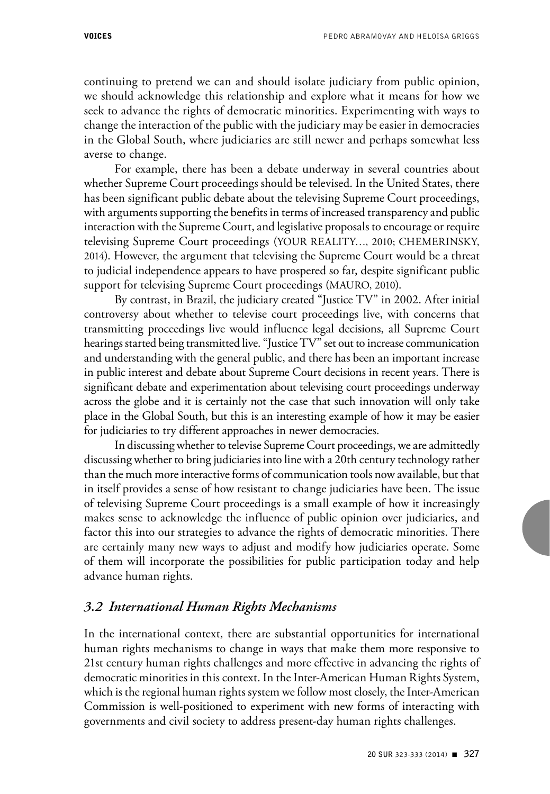continuing to pretend we can and should isolate judiciary from public opinion, we should acknowledge this relationship and explore what it means for how we seek to advance the rights of democratic minorities. Experimenting with ways to change the interaction of the public with the judiciary may be easier in democracies in the Global South, where judiciaries are still newer and perhaps somewhat less averse to change.

For example, there has been a debate underway in several countries about whether Supreme Court proceedings should be televised. In the United States, there has been significant public debate about the televising Supreme Court proceedings, with arguments supporting the benefits in terms of increased transparency and public interaction with the Supreme Court, and legislative proposals to encourage or require televising Supreme Court proceedings (YOUR REALITY…, 2010; CHEMERINSKY, 2014). However, the argument that televising the Supreme Court would be a threat to judicial independence appears to have prospered so far, despite significant public support for televising Supreme Court proceedings (MAURO, 2010).

By contrast, in Brazil, the judiciary created "Justice TV" in 2002. After initial controversy about whether to televise court proceedings live, with concerns that transmitting proceedings live would influence legal decisions, all Supreme Court hearings started being transmitted live. "Justice TV" set out to increase communication and understanding with the general public, and there has been an important increase in public interest and debate about Supreme Court decisions in recent years. There is significant debate and experimentation about televising court proceedings underway across the globe and it is certainly not the case that such innovation will only take place in the Global South, but this is an interesting example of how it may be easier for judiciaries to try different approaches in newer democracies.

In discussing whether to televise Supreme Court proceedings, we are admittedly discussing whether to bring judiciaries into line with a 20th century technology rather than the much more interactive forms of communication tools now available, but that in itself provides a sense of how resistant to change judiciaries have been. The issue of televising Supreme Court proceedings is a small example of how it increasingly makes sense to acknowledge the influence of public opinion over judiciaries, and factor this into our strategies to advance the rights of democratic minorities. There are certainly many new ways to adjust and modify how judiciaries operate. Some of them will incorporate the possibilities for public participation today and help advance human rights.

# *3.2 International Human Rights Mechanisms*

In the international context, there are substantial opportunities for international human rights mechanisms to change in ways that make them more responsive to 21st century human rights challenges and more effective in advancing the rights of democratic minorities in this context. In the Inter-American Human Rights System, which is the regional human rights system we follow most closely, the Inter-American Commission is well-positioned to experiment with new forms of interacting with governments and civil society to address present-day human rights challenges.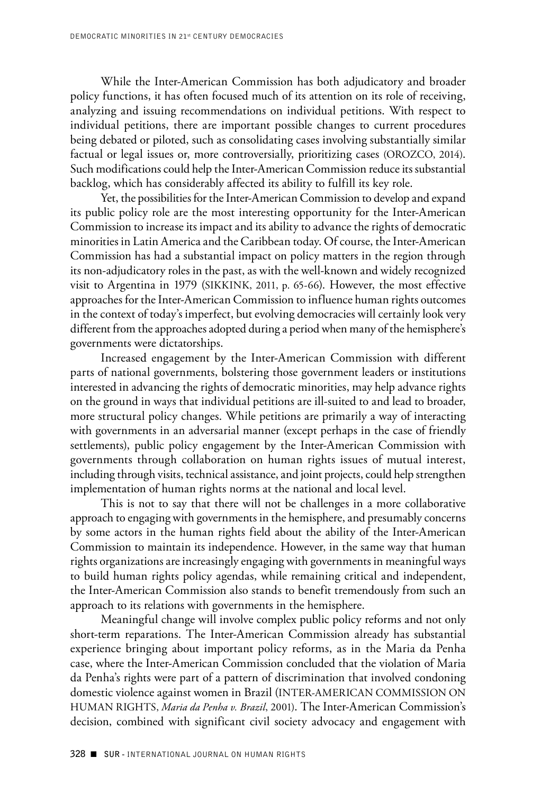While the Inter-American Commission has both adjudicatory and broader policy functions, it has often focused much of its attention on its role of receiving, analyzing and issuing recommendations on individual petitions. With respect to individual petitions, there are important possible changes to current procedures being debated or piloted, such as consolidating cases involving substantially similar factual or legal issues or, more controversially, prioritizing cases (OROZCO, 2014). Such modifications could help the Inter-American Commission reduce its substantial backlog, which has considerably affected its ability to fulfill its key role.

Yet, the possibilities for the Inter-American Commission to develop and expand its public policy role are the most interesting opportunity for the Inter-American Commission to increase its impact and its ability to advance the rights of democratic minorities in Latin America and the Caribbean today. Of course, the Inter-American Commission has had a substantial impact on policy matters in the region through its non-adjudicatory roles in the past, as with the well-known and widely recognized visit to Argentina in 1979 (SIKKINK, 2011, p. 65-66). However, the most effective approaches for the Inter-American Commission to influence human rights outcomes in the context of today's imperfect, but evolving democracies will certainly look very different from the approaches adopted during a period when many of the hemisphere's governments were dictatorships.

Increased engagement by the Inter-American Commission with different parts of national governments, bolstering those government leaders or institutions interested in advancing the rights of democratic minorities, may help advance rights on the ground in ways that individual petitions are ill-suited to and lead to broader, more structural policy changes. While petitions are primarily a way of interacting with governments in an adversarial manner (except perhaps in the case of friendly settlements), public policy engagement by the Inter-American Commission with governments through collaboration on human rights issues of mutual interest, including through visits, technical assistance, and joint projects, could help strengthen implementation of human rights norms at the national and local level.

This is not to say that there will not be challenges in a more collaborative approach to engaging with governments in the hemisphere, and presumably concerns by some actors in the human rights field about the ability of the Inter-American Commission to maintain its independence. However, in the same way that human rights organizations are increasingly engaging with governments in meaningful ways to build human rights policy agendas, while remaining critical and independent, the Inter-American Commission also stands to benefit tremendously from such an approach to its relations with governments in the hemisphere.

Meaningful change will involve complex public policy reforms and not only short-term reparations. The Inter-American Commission already has substantial experience bringing about important policy reforms, as in the Maria da Penha case, where the Inter-American Commission concluded that the violation of Maria da Penha's rights were part of a pattern of discrimination that involved condoning domestic violence against women in Brazil (INTER-AMERICAN COMMISSION ON HUMAN RIGHTS, *Maria da Penha v. Brazil*, 2001). The Inter-American Commission's decision, combined with significant civil society advocacy and engagement with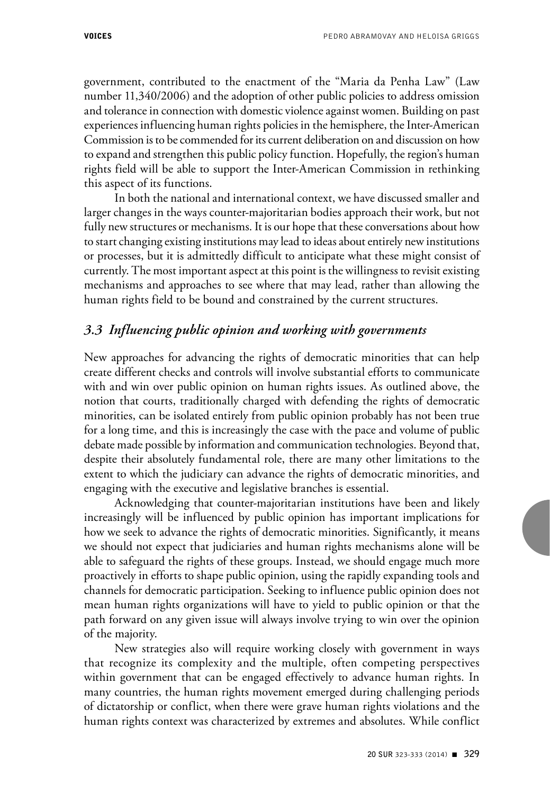government, contributed to the enactment of the "Maria da Penha Law" (Law number 11,340/2006) and the adoption of other public policies to address omission and tolerance in connection with domestic violence against women. Building on past experiences influencing human rights policies in the hemisphere, the Inter-American Commission is to be commended for its current deliberation on and discussion on how to expand and strengthen this public policy function. Hopefully, the region's human rights field will be able to support the Inter-American Commission in rethinking this aspect of its functions.

In both the national and international context, we have discussed smaller and larger changes in the ways counter-majoritarian bodies approach their work, but not fully new structures or mechanisms. It is our hope that these conversations about how to start changing existing institutions may lead to ideas about entirely new institutions or processes, but it is admittedly difficult to anticipate what these might consist of currently. The most important aspect at this point is the willingness to revisit existing mechanisms and approaches to see where that may lead, rather than allowing the human rights field to be bound and constrained by the current structures.

# *3.3 Influencing public opinion and working with governments*

New approaches for advancing the rights of democratic minorities that can help create different checks and controls will involve substantial efforts to communicate with and win over public opinion on human rights issues. As outlined above, the notion that courts, traditionally charged with defending the rights of democratic minorities, can be isolated entirely from public opinion probably has not been true for a long time, and this is increasingly the case with the pace and volume of public debate made possible by information and communication technologies. Beyond that, despite their absolutely fundamental role, there are many other limitations to the extent to which the judiciary can advance the rights of democratic minorities, and engaging with the executive and legislative branches is essential.

Acknowledging that counter-majoritarian institutions have been and likely increasingly will be influenced by public opinion has important implications for how we seek to advance the rights of democratic minorities. Significantly, it means we should not expect that judiciaries and human rights mechanisms alone will be able to safeguard the rights of these groups. Instead, we should engage much more proactively in efforts to shape public opinion, using the rapidly expanding tools and channels for democratic participation. Seeking to influence public opinion does not mean human rights organizations will have to yield to public opinion or that the path forward on any given issue will always involve trying to win over the opinion of the majority.

New strategies also will require working closely with government in ways that recognize its complexity and the multiple, often competing perspectives within government that can be engaged effectively to advance human rights. In many countries, the human rights movement emerged during challenging periods of dictatorship or conflict, when there were grave human rights violations and the human rights context was characterized by extremes and absolutes. While conflict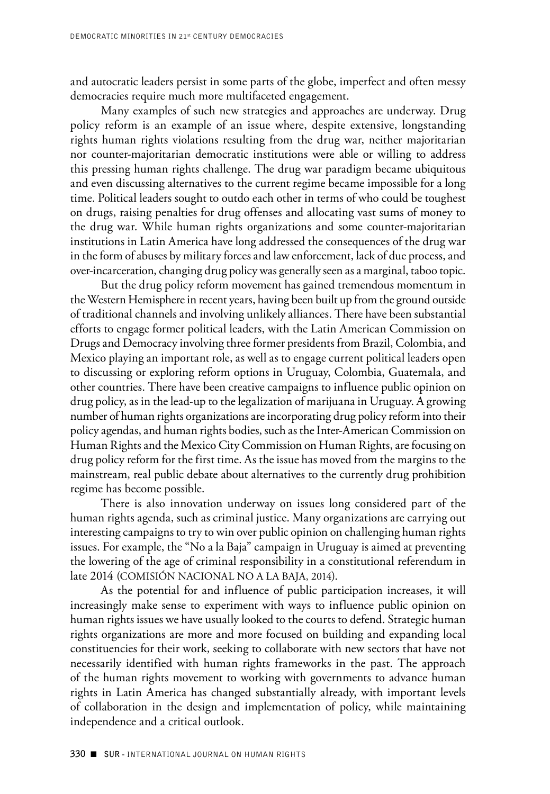and autocratic leaders persist in some parts of the globe, imperfect and often messy democracies require much more multifaceted engagement.

Many examples of such new strategies and approaches are underway. Drug policy reform is an example of an issue where, despite extensive, longstanding rights human rights violations resulting from the drug war, neither majoritarian nor counter-majoritarian democratic institutions were able or willing to address this pressing human rights challenge. The drug war paradigm became ubiquitous and even discussing alternatives to the current regime became impossible for a long time. Political leaders sought to outdo each other in terms of who could be toughest on drugs, raising penalties for drug offenses and allocating vast sums of money to the drug war. While human rights organizations and some counter-majoritarian institutions in Latin America have long addressed the consequences of the drug war in the form of abuses by military forces and law enforcement, lack of due process, and over-incarceration, changing drug policy was generally seen as a marginal, taboo topic.

But the drug policy reform movement has gained tremendous momentum in the Western Hemisphere in recent years, having been built up from the ground outside of traditional channels and involving unlikely alliances. There have been substantial efforts to engage former political leaders, with the Latin American Commission on Drugs and Democracy involving three former presidents from Brazil, Colombia, and Mexico playing an important role, as well as to engage current political leaders open to discussing or exploring reform options in Uruguay, Colombia, Guatemala, and other countries. There have been creative campaigns to influence public opinion on drug policy, as in the lead-up to the legalization of marijuana in Uruguay. A growing number of human rights organizations are incorporating drug policy reform into their policy agendas, and human rights bodies, such as the Inter-American Commission on Human Rights and the Mexico City Commission on Human Rights, are focusing on drug policy reform for the first time. As the issue has moved from the margins to the mainstream, real public debate about alternatives to the currently drug prohibition regime has become possible.

There is also innovation underway on issues long considered part of the human rights agenda, such as criminal justice. Many organizations are carrying out interesting campaigns to try to win over public opinion on challenging human rights issues. For example, the "No a la Baja" campaign in Uruguay is aimed at preventing the lowering of the age of criminal responsibility in a constitutional referendum in late 2014 (COMISIÓN NACIONAL NO A LA BAJA, 2014).

As the potential for and influence of public participation increases, it will increasingly make sense to experiment with ways to influence public opinion on human rights issues we have usually looked to the courts to defend. Strategic human rights organizations are more and more focused on building and expanding local constituencies for their work, seeking to collaborate with new sectors that have not necessarily identified with human rights frameworks in the past. The approach of the human rights movement to working with governments to advance human rights in Latin America has changed substantially already, with important levels of collaboration in the design and implementation of policy, while maintaining independence and a critical outlook.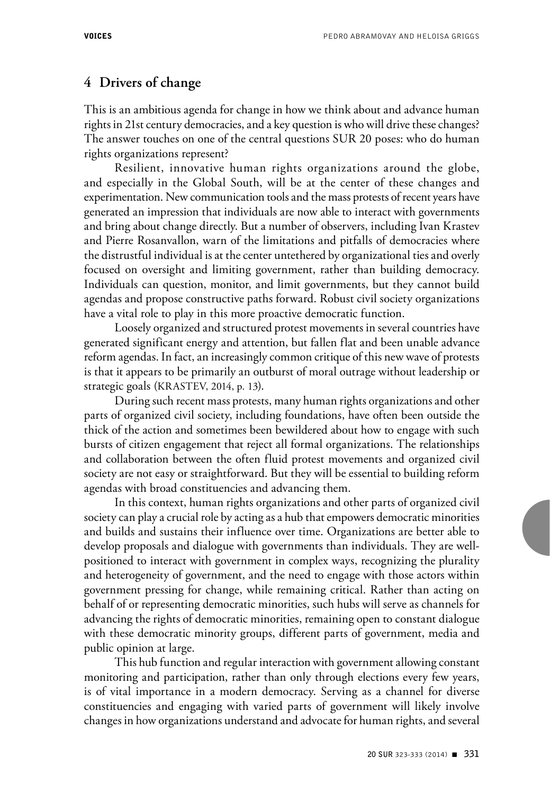# **4 Drivers of change**

This is an ambitious agenda for change in how we think about and advance human rights in 21st century democracies, and a key question is who will drive these changes? The answer touches on one of the central questions SUR 20 poses: who do human rights organizations represent?

Resilient, innovative human rights organizations around the globe, and especially in the Global South, will be at the center of these changes and experimentation. New communication tools and the mass protests of recent years have generated an impression that individuals are now able to interact with governments and bring about change directly. But a number of observers, including Ivan Krastev and Pierre Rosanvallon, warn of the limitations and pitfalls of democracies where the distrustful individual is at the center untethered by organizational ties and overly focused on oversight and limiting government, rather than building democracy. Individuals can question, monitor, and limit governments, but they cannot build agendas and propose constructive paths forward. Robust civil society organizations have a vital role to play in this more proactive democratic function.

Loosely organized and structured protest movements in several countries have generated significant energy and attention, but fallen flat and been unable advance reform agendas. In fact, an increasingly common critique of this new wave of protests is that it appears to be primarily an outburst of moral outrage without leadership or strategic goals (KRASTEV, 2014, p. 13).

During such recent mass protests, many human rights organizations and other parts of organized civil society, including foundations, have often been outside the thick of the action and sometimes been bewildered about how to engage with such bursts of citizen engagement that reject all formal organizations. The relationships and collaboration between the often fluid protest movements and organized civil society are not easy or straightforward. But they will be essential to building reform agendas with broad constituencies and advancing them.

In this context, human rights organizations and other parts of organized civil society can play a crucial role by acting as a hub that empowers democratic minorities and builds and sustains their influence over time. Organizations are better able to develop proposals and dialogue with governments than individuals. They are wellpositioned to interact with government in complex ways, recognizing the plurality and heterogeneity of government, and the need to engage with those actors within government pressing for change, while remaining critical. Rather than acting on behalf of or representing democratic minorities, such hubs will serve as channels for advancing the rights of democratic minorities, remaining open to constant dialogue with these democratic minority groups, different parts of government, media and public opinion at large.

This hub function and regular interaction with government allowing constant monitoring and participation, rather than only through elections every few years, is of vital importance in a modern democracy. Serving as a channel for diverse constituencies and engaging with varied parts of government will likely involve changes in how organizations understand and advocate for human rights, and several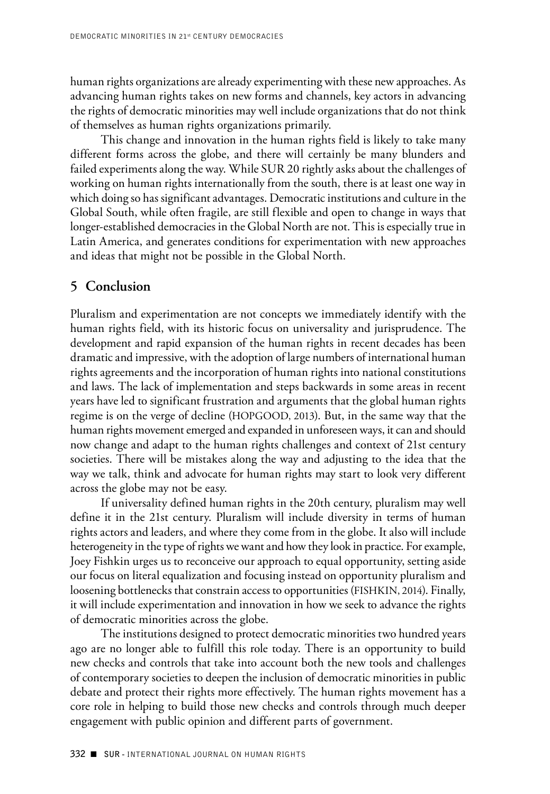human rights organizations are already experimenting with these new approaches. As advancing human rights takes on new forms and channels, key actors in advancing the rights of democratic minorities may well include organizations that do not think of themselves as human rights organizations primarily.

This change and innovation in the human rights field is likely to take many different forms across the globe, and there will certainly be many blunders and failed experiments along the way. While SUR 20 rightly asks about the challenges of working on human rights internationally from the south, there is at least one way in which doing so has significant advantages. Democratic institutions and culture in the Global South, while often fragile, are still flexible and open to change in ways that longer-established democracies in the Global North are not. This is especially true in Latin America, and generates conditions for experimentation with new approaches and ideas that might not be possible in the Global North.

# **5 Conclusion**

Pluralism and experimentation are not concepts we immediately identify with the human rights field, with its historic focus on universality and jurisprudence. The development and rapid expansion of the human rights in recent decades has been dramatic and impressive, with the adoption of large numbers of international human rights agreements and the incorporation of human rights into national constitutions and laws. The lack of implementation and steps backwards in some areas in recent years have led to significant frustration and arguments that the global human rights regime is on the verge of decline (HOPGOOD, 2013). But, in the same way that the human rights movement emerged and expanded in unforeseen ways, it can and should now change and adapt to the human rights challenges and context of 21st century societies. There will be mistakes along the way and adjusting to the idea that the way we talk, think and advocate for human rights may start to look very different across the globe may not be easy.

If universality defined human rights in the 20th century, pluralism may well define it in the 21st century. Pluralism will include diversity in terms of human rights actors and leaders, and where they come from in the globe. It also will include heterogeneity in the type of rights we want and how they look in practice. For example, Joey Fishkin urges us to reconceive our approach to equal opportunity, setting aside our focus on literal equalization and focusing instead on opportunity pluralism and loosening bottlenecks that constrain access to opportunities (FISHKIN, 2014). Finally, it will include experimentation and innovation in how we seek to advance the rights of democratic minorities across the globe.

The institutions designed to protect democratic minorities two hundred years ago are no longer able to fulfill this role today. There is an opportunity to build new checks and controls that take into account both the new tools and challenges of contemporary societies to deepen the inclusion of democratic minorities in public debate and protect their rights more effectively. The human rights movement has a core role in helping to build those new checks and controls through much deeper engagement with public opinion and different parts of government.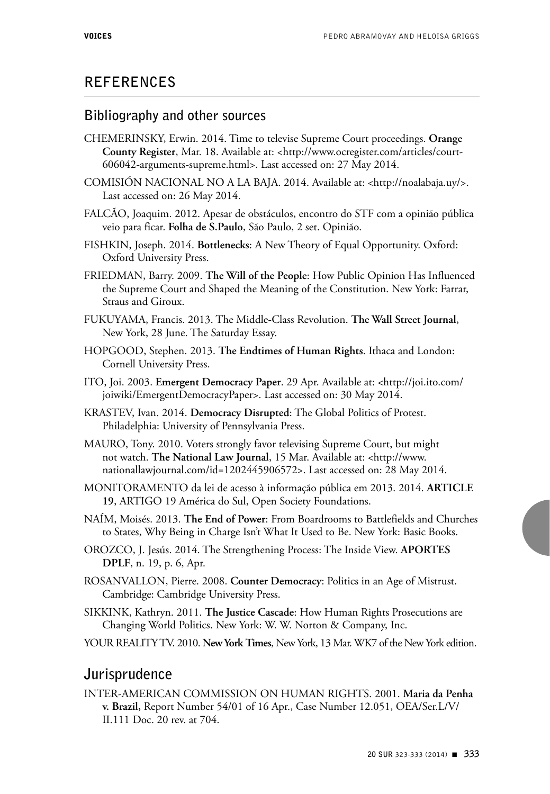# **REFERENCES**

# **Bibliography and other sources**

- CHEMERINSKY, Erwin. 2014. Time to televise Supreme Court proceedings. **Orange County Register**, Mar. 18. Available at: <http://www.ocregister.com/articles/court-606042-arguments-supreme.html>. Last accessed on: 27 May 2014.
- COMISIÓN NACIONAL NO A LA BAJA. 2014. Available at: <http://noalabaja.uy/>. Last accessed on: 26 May 2014.
- FALCÃO, Joaquim. 2012. Apesar de obstáculos, encontro do STF com a opinião pública veio para ficar. **Folha de S.Paulo**, São Paulo, 2 set. Opinião.
- FISHKIN, Joseph. 2014. **Bottlenecks**: A New Theory of Equal Opportunity. Oxford: Oxford University Press.
- FRIEDMAN, Barry. 2009. **The Will of the People**: How Public Opinion Has Influenced the Supreme Court and Shaped the Meaning of the Constitution. New York: Farrar, Straus and Giroux.
- FUKUYAMA, Francis. 2013. The Middle-Class Revolution. **The Wall Street Journal**, New York, 28 June. The Saturday Essay.
- HOPGOOD, Stephen. 2013. **The Endtimes of Human Rights**. Ithaca and London: Cornell University Press.
- ITO, Joi. 2003. **Emergent Democracy Paper**. 29 Apr. Available at: <http://joi.ito.com/ joiwiki/EmergentDemocracyPaper>. Last accessed on: 30 May 2014.
- KRASTEV, Ivan. 2014. **Democracy Disrupted**: The Global Politics of Protest. Philadelphia: University of Pennsylvania Press.
- MAURO, Tony. 2010. Voters strongly favor televising Supreme Court, but might not watch. **The National Law Journal**, 15 Mar. Available at: <http://www. nationallawjournal.com/id=1202445906572>. Last accessed on: 28 May 2014.
- MONITORAMENTO da lei de acesso à informação pública em 2013. 2014. **ARTICLE 19**, ARTIGO 19 América do Sul, Open Society Foundations.

NAÍM, Moisés. 2013. **The End of Power**: From Boardrooms to Battlefields and Churches to States, Why Being in Charge Isn't What It Used to Be. New York: Basic Books.

OROZCO, J. Jesús. 2014. The Strengthening Process: The Inside View. **APORTES DPLF**, n. 19, p. 6, Apr.

- ROSANVALLON, Pierre. 2008. **Counter Democracy**: Politics in an Age of Mistrust. Cambridge: Cambridge University Press.
- SIKKINK, Kathryn. 2011. **The Justice Cascade**: How Human Rights Prosecutions are Changing World Politics. New York: W. W. Norton & Company, Inc.
- YOUR REALITY TV. 2010. **New York Times**, New York, 13 Mar. WK7 of the New York edition.

# **Jurisprudence**

INTER-AMERICAN COMMISSION ON HUMAN RIGHTS. 2001. **Maria da Penha v. Brazil,** Report Number 54/01 of 16 Apr., Case Number 12.051, OEA/Ser.L/V/ II.111 Doc. 20 rev. at 704.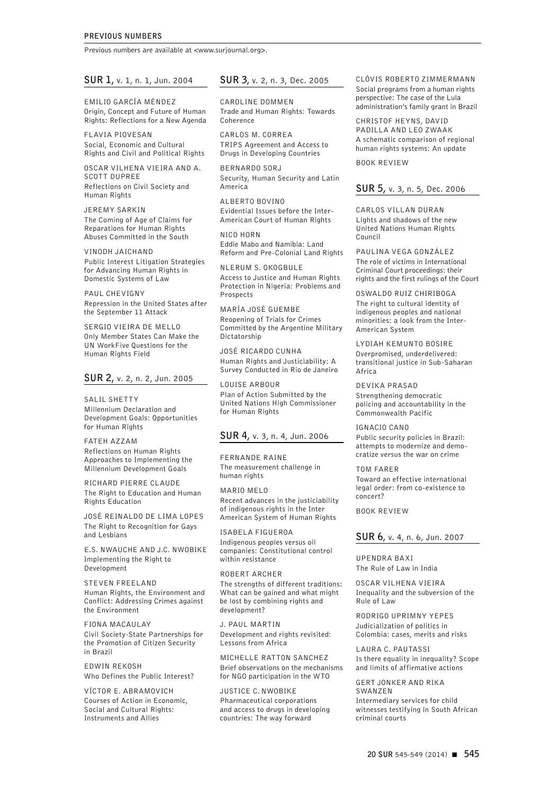Previous numbers are available at <www.surjournal.org>.

#### **SUR 1,** v. 1, n. 1, Jun. 2004

EMILIO GARCÍA MÉNDEZ Origin, Concept and Future of Human Rights: Reflections for a New Agenda

FLAVIA PIOVESAN Social, Economic and Cultural Rights and Civil and Political Rights

OSCAR VILHENA VIEIRA AND A. SCOTT DUPREE Reflections on Civil Society and Human Rights

JEREMY SARKIN The Coming of Age of Claims for Reparations for Human Rights Abuses Committed in the South

VINODH JAICHAND Public Interest Litigation Strategies for Advancing Human Rights in Domestic Systems of Law

PAUL CHEVIGNY Repression in the United States after the September 11 Attack

SERGIO VIEIRA DE MELLO Only Member States Can Make the UN WorkFive Questions for the Human Rights Field

#### **SUR 2,** v. 2, n. 2, Jun. 2005

SALIL SHETTY Millennium Declaration and Development Goals: Opportunities for Human Rights

FATEH AZZAM Reflections on Human Rights Approaches to Implementing the Millennium Development Goals

RICHARD PIERRE CLAUDE The Right to Education and Human Rights Education

JOSÉ REINALDO DE LIMA LOPES The Right to Recognition for Gays and Lesbians

E.S. NWAUCHE AND J.C. NWOBIKE Implementing the Right to Development

STEVEN FREELAND Human Rights, the Environment and Conflict: Addressing Crimes against the Environment

FIONA MACAULAY Civil Society-State Partnerships for the Promotion of Citizen Security in Brazil

EDWIN REKOSH Who Defines the Public Interest?

VÍCTOR E. ABRAMOVICH Courses of Action in Economic, Social and Cultural Rights: Instruments and Allies

#### **SUR 3,** v. 2, n. 3, Dec. 2005

CAROLINE DOMMEN Trade and Human Rights: Towards Coherence

CARLOS M. CORREA TRIPS Agreement and Access to Drugs in Developing Countries

BERNARDO SORJ Security, Human Security and Latin America

ALBERTO BOVINO Evidential Issues before the Inter-American Court of Human Rights

NICO HORN Eddie Mabo and Namibia: Land Reform and Pre-Colonial Land Rights

NLERUM S. OKOGBULE Access to Justice and Human Rights Protection in Nigeria: Problems and **Prospects** 

MARÍA JOSÉ GUEMBE Reopening of Trials for Crimes Committed by the Argentine Military Dictatorship

JOSÉ RICARDO CUNHA Human Rights and Justiciability: A Survey Conducted in Rio de Janeiro

LOUISE ARBOUR Plan of Action Submitted by the United Nations High Commissioner for Human Rights

#### **SUR 4,** v. 3, n. 4, Jun. 2006

FERNANDE RAINE The measurement challenge in human rights

MARIO MELO Recent advances in the justiciability of indigenous rights in the Inter American System of Human Rights

ISABELA FIGUEROA Indigenous peoples versus oil companies: Constitutional control within resistance

ROBERT ARCHER The strengths of different traditions: What can be gained and what might be lost by combining rights and development?

J. PAUL MARTIN Development and rights revisited: Lessons from Africa

MICHELLE RATTON SANCHEZ Brief observations on the mechanisms for NGO participation in the WTO

JUSTICE C. NWOBIKE Pharmaceutical corporations and access to drugs in developing countries: The way forward

CLÓVIS ROBERTO ZIMMERMANN Social programs from a human rights perspective: The case of the Lula administration's family grant in Brazil

CHRISTOF HEYNS, DAVID PADILLA AND LEO ZWAAK A schematic comparison of regional human rights systems: An update

BOOK REVIEW

#### **SUR 5,** v. 3, n. 5, Dec. 2006

CARLOS VILLAN DURAN Lights and shadows of the new United Nations Human Rights Council

PAULINA VEGA GONZÁLEZ The role of victims in International Criminal Court proceedings: their rights and the first rulings of the Court

OSWALDO RUIZ CHIRIBOGA The right to cultural identity of indigenous peoples and national minorities: a look from the Inter-American System

LYDIAH KEMUNTO BOSIRE Overpromised, underdelivered: transitional justice in Sub-Saharan Africa

DEVIKA PRASAD Strengthening democratic policing and accountability in the Commonwealth Pacific

IGNACIO CANO Public security policies in Brazil: attempts to modernize and democratize versus the war on crime

TOM FARER Toward an effective international legal order: from co-existence to concert?

BOOK REVIEW

#### **SUR 6,** v. 4, n. 6, Jun. 2007

UPENDRA BAXI The Rule of Law in India

OSCAR VILHENA VIEIRA Inequality and the subversion of the Rule of Law

RODRIGO UPRIMNY YEPES Judicialization of politics in Colombia: cases, merits and risks

LAURA C. PAUTASSI Is there equality in inequality? Scope and limits of affirmative actions

GERT JONKER AND RIKA SWANZEN Intermediary services for child witnesses testifying in South African criminal courts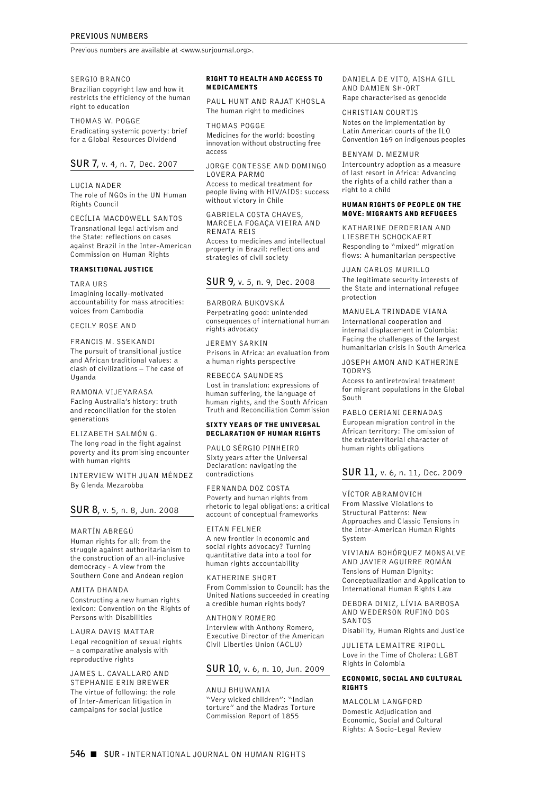Previous numbers are available at <www.surjournal.org>.

#### SERGIO BRANCO

Brazilian copyright law and how it restricts the efficiency of the human right to education

THOMAS W. POGGE Eradicating systemic poverty: brief for a Global Resources Dividend

#### **SUR 7,** v. 4, n. 7, Dec. 2007

LUCIA NADER The role of NGOs in the UN Human Rights Council

CECÍLIA MACDOWELL SANTOS Transnational legal activism and the State: reflections on cases against Brazil in the Inter-American Commission on Human Rights

#### **TRANSITIONAL JUSTICE**

TARA URS Imagining locally-motivated accountability for mass atrocities: voices from Cambodia

CECILY ROSE AND

FRANCIS M. SSEKANDI The pursuit of transitional justice and African traditional values: a clash of civilizations – The case of Uganda

RAMONA VIJEYARASA Facing Australia's history: truth and reconciliation for the stolen generations

ELIZABETH SALMÓN G. The long road in the fight against poverty and its promising encounter with human rights

INTERVIEW WITH JUAN MÉNDEZ By Glenda Mezarobba

#### **SUR 8,** v. 5, n. 8, Jun. 2008

MARTÍN ABREGÚ

Human rights for all: from the struggle against authoritarianism to the construction of an all-inclusive democracy - A view from the Southern Cone and Andean region

AMITA DHANDA Constructing a new human rights lexicon: Convention on the Rights of Persons with Disabilities

LAURA DAVIS MATTAR Legal recognition of sexual rights – a comparative analysis with reproductive rights

JAMES L. CAVALLARO AND STEPHANIE ERIN BREWER The virtue of following: the role of Inter-American litigation in campaigns for social justice

#### **RIGHT TO HEALTH AND ACCESS TO MEDICAMENTS**

PAUL HUNT AND RAJAT KHOSLA The human right to medicines

THOMAS POGGE Medicines for the world: boosting innovation without obstructing free access

JORGE CONTESSE AND DOMINGO LOVERA PARMO

Access to medical treatment for people living with HIV/AIDS: success without victory in Chile

GABRIELA COSTA CHAVES, MARCELA FOGAÇA VIEIRA AND RENATA REIS Access to medicines and intellectual property in Brazil: reflections and strategies of civil society

#### **SUR 9,** v. 5, n. 9, Dec. 2008

BARBORA BUKOVSKÁ Perpetrating good: unintended consequences of international human rights advocacy

JEREMY SARKIN Prisons in Africa: an evaluation from a human rights perspective

REBECCA SAUNDERS Lost in translation: expressions of human suffering, the language of human rights, and the South African Truth and Reconciliation Commission

#### **SIXTY YEARS OF THE UNIVERSAL DECLARATION OF HUMAN RIGHTS**

PAULO SÉRGIO PINHEIRO Sixty years after the Universal Declaration: navigating the contradictions

FERNANDA DOZ COSTA Poverty and human rights from rhetoric to legal obligations: a critical account of conceptual frameworks

#### EITAN FELNER

A new frontier in economic and social rights advocacy? Turning quantitative data into a tool for human rights accountability

KATHERINE SHORT From Commission to Council: has the United Nations succeeded in creating a credible human rights body?

ANTHONY ROMERO Interview with Anthony Romero, Executive Director of the American Civil Liberties Union (ACLU)

#### **SUR 10,** v. 6, n. 10, Jun. 2009

ANUJ BHUWANIA "Very wicked children": "Indian torture" and the Madras Torture Commission Report of 1855

#### DANIELA DE VITO, AISHA GILL AND DAMIEN SH-ORT Rape characterised as genocide

CHRISTIAN COURTIS Notes on the implementation by Latin American courts of the ILO Convention 169 on indigenous peoples

BENYAM D. MEZMUR

Intercountry adoption as a measure of last resort in Africa: Advancing the rights of a child rather than a right to a child

#### **HUMAN RIGHTS OF PEOPLE ON THE MOVE: MIGRANTS AND REFUGEES**

KATHARINE DERDERIAN AND LIESBETH SCHOCKAERT Responding to "mixed" migration flows: A humanitarian perspective

JUAN CARLOS MURILLO The legitimate security interests of the State and international refugee protection

MANUELA TRINDADE VIANA International cooperation and internal displacement in Colombia: Facing the challenges of the largest humanitarian crisis in South America

JOSEPH AMON AND KATHERINE TODRYS Access to antiretroviral treatment

for migrant populations in the Global South

PABLO CERIANI CERNADAS European migration control in the African territory: The omission of the extraterritorial character of human rights obligations

#### **SUR 11,** v. 6, n. 11, Dec. 2009

VÍCTOR ABRAMOVICH From Massive Violations to Structural Patterns: New Approaches and Classic Tensions in the Inter-American Human Rights System

VIVIANA BOHÓRQUEZ MONSALVE AND JAVIER AGUIRRE ROMÁN Tensions of Human Dignity: Conceptualization and Application to International Human Rights Law

DEBORA DINIZ, LÍVIA BARBOSA AND WEDERSON RUFINO DOS SANTOS

Disability, Human Rights and Justice

JULIETA LEMAITRE RIPOLL Love in the Time of Cholera: LGBT Rights in Colombia

#### **ECONOMIC, SOCIAL AND CULTURAL RIGHTS**

MALCOLM LANGFORD Domestic Adjudication and Economic, Social and Cultural Rights: A Socio-Legal Review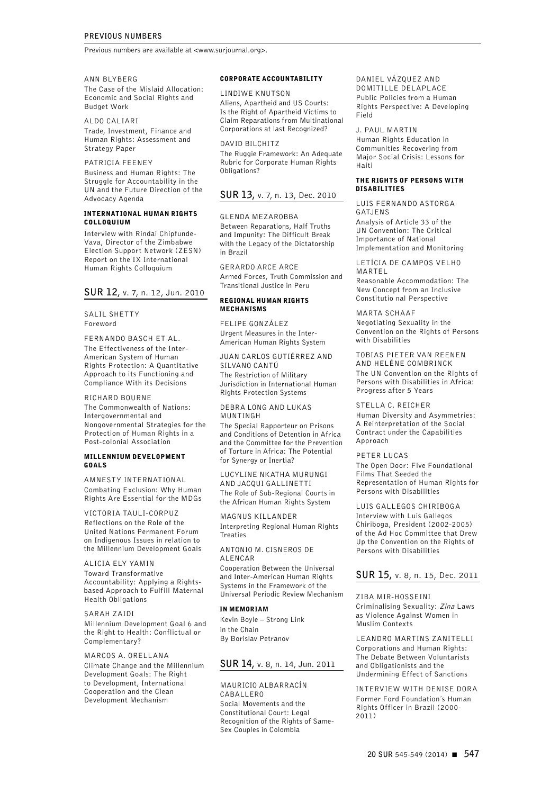# **PREVIOUS NUMBERS**

Previous numbers are available at <www.surjournal.org>.

#### ANN BLYBERG

The Case of the Mislaid Allocation: Economic and Social Rights and Budget Work

ALDO CALIARI Trade, Investment, Finance and Human Rights: Assessment and Strategy Paper

#### PATRICIA FEENEY

Business and Human Rights: The Struggle for Accountability in the UN and the Future Direction of the Advocacy Agenda

#### **INTERNATIONAL HUMAN RIGHTS COLLOQUIUM**

Interview with Rindai Chipfunde-Vava, Director of the Zimbabwe Election Support Network (ZESN) Report on the IX International Human Rights Colloquium

#### **SUR 12,** v. 7, n. 12, Jun. 2010

SALIL SHETTY Foreword

FERNANDO BASCH ET AL. The Effectiveness of the Inter-American System of Human Rights Protection: A Quantitative Approach to its Functioning and Compliance With its Decisions

#### RICHARD BOURNE

The Commonwealth of Nations: Intergovernmental and Nongovernmental Strategies for the Protection of Human Rights in a Post-colonial Association

#### **MILLENNIUM DEVELOPMENT GOALS**

AMNESTY INTERNATIONAL Combating Exclusion: Why Human Rights Are Essential for the MDGs

VICTORIA TAULI-CORPUZ Reflections on the Role of the United Nations Permanent Forum on Indigenous Issues in relation to the Millennium Development Goals

ALICIA ELY YAMIN Toward Transformative Accountability: Applying a Rightsbased Approach to Fulfill Maternal Health Obligations

SARAH ZAIDI Millennium Development Goal 6 and the Right to Health: Conflictual or Complementary?

MARCOS A. ORELLANA Climate Change and the Millennium Development Goals: The Right to Development, International Cooperation and the Clean Development Mechanism

#### **CORPORATE ACCOUNTABILITY**

#### LINDIWE KNUTSON

Aliens, Apartheid and US Courts: Is the Right of Apartheid Victims to Claim Reparations from Multinational Corporations at last Recognized?

DAVID BILCHITZ The Ruggie Framework: An Adequate Rubric for Corporate Human Rights Obligations?

#### **SUR 13,** v. 7, n. 13, Dec. 2010

GLENDA MEZAROBBA Between Reparations, Half Truths and Impunity: The Difficult Break with the Legacy of the Dictatorship in Brazil

GERARDO ARCE ARCE Armed Forces, Truth Commission and Transitional Justice in Peru

#### **REGIONAL HUMAN RIGHTS MECHANISMS**

FELIPE GONZÁLEZ Urgent Measures in the Inter-American Human Rights System

JUAN CARLOS GUTIÉRREZ AND SILVANO CANTÚ The Restriction of Military Jurisdiction in International Human Rights Protection Systems

DEBRA LONG AND LUKAS MUNTINGH The Special Rapporteur on Prisons and Conditions of Detention in Africa and the Committee for the Prevention of Torture in Africa: The Potential for Synergy or Inertia?

LUCYLINE NKATHA MURUNGI AND JACQUI GALLINETTI The Role of Sub-Regional Courts in the African Human Rights System

MAGNUS KILLANDER Interpreting Regional Human Rights Treaties

ANTONIO M. CISNEROS DE ALENCAR

Cooperation Between the Universal and Inter-American Human Rights Systems in the Framework of the Universal Periodic Review Mechanism

#### **IN MEMORIAM**

Kevin Boyle – Strong Link in the Chain By Borislav Petranov

#### **SUR 14,** v. 8, n. 14, Jun. 2011

MAURICIO ALBARRACÍN CABALLERO Social Movements and the Constitutional Court: Legal Recognition of the Rights of Same-Sex Couples in Colombia

DANIEL VÁZQUEZ AND DOMITILLE DELAPLACE Public Policies from a Human Rights Perspective: A Developing Field

#### J. PAUL MARTIN

Human Rights Education in Communities Recovering from Major Social Crisis: Lessons for Haiti

#### **THE RIGHTS OF PERSONS WITH DISABILITIES**

LUIS FERNANDO ASTORGA GATJENS Analysis of Article 33 of the UN Convention: The Critical Importance of National Implementation and Monitoring

LETÍCIA DE CAMPOS VELHO MARTEL Reasonable Accommodation: The New Concept from an Inclusive Constitutio nal Perspective

MARTA SCHAAF Negotiating Sexuality in the Convention on the Rights of Persons with Disabilities

TOBIAS PIETER VAN REENEN AND HELÉNE COMBRINCK The UN Convention on the Rights of Persons with Disabilities in Africa: Progress after 5 Years

STELLA C. REICHER Human Diversity and Asymmetries: A Reinterpretation of the Social Contract under the Capabilities Approach

#### PETER LUCAS

The Open Door: Five Foundational Films That Seeded the Representation of Human Rights for Persons with Disabilities

LUIS GALLEGOS CHIRIBOGA Interview with Luis Gallegos Chiriboga, President (2002-2005) of the Ad Hoc Committee that Drew Up the Convention on the Rights of Persons with Disabilities

#### **SUR 15,** v. 8, n. 15, Dec. 2011

ZIBA MIR-HOSSEINI Criminalising Sexuality: Zina Laws as Violence Against Women in Muslim Contexts

LEANDRO MARTINS ZANITELLI Corporations and Human Rights: The Debate Between Voluntarists and Obligationists and the Undermining Effect of Sanctions

INTERVIEW WITH DENISE DORA Former Ford Foundation´s Human Rights Officer in Brazil (2000- 2011)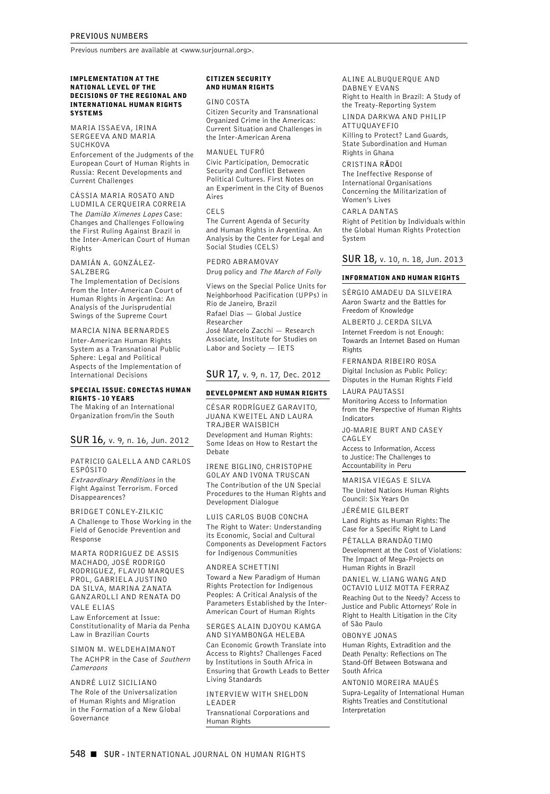Previous numbers are available at <www.surjournal.org>.

#### **IMPLEMENTATION AT THE NATIONAL LEVEL OF THE DECISIONS OF THE REGIONAL AND INTERNATIONAL HUMAN RIGHTS SYSTEMS**

MARIA ISSAEVA, IRINA SERGEEVA AND MARIA **SUCHKOVA** Enforcement of the Judgments of the European Court of Human Rights in Russia: Recent Developments and Current Challenges

CÁSSIA MARIA ROSATO AND LUDMILA CERQUEIRA CORREIA The Damião Ximenes Lopes Case: Changes and Challenges Following the First Ruling Against Brazil in the Inter-American Court of Human Rights

DAMIÁN A. GONZÁLEZ-SALZBERG The Implementation of Decisions

from the Inter-American Court of Human Rights in Argentina: An Analysis of the Jurisprudential Swings of the Supreme Court

MARCIA NINA BERNARDES Inter-American Human Rights System as a Transnational Public Sphere: Legal and Political Aspects of the Implementation of International Decisions

#### **SPECIAL ISSUE: CONECTAS HUMAN RIGHTS - 10 YEARS**

The Making of an International Organization from/in the South

#### **SUR 16,** v. 9, n. 16, Jun. 2012

PATRICIO GALELLA AND CARLOS ESPÓSITO

Extraordinary Renditions in the Fight Against Terrorism. Forced Disappearences?

BRIDGET CONLEY-ZILKIC A Challenge to Those Working in the Field of Genocide Prevention and Response

MARTA RODRIGUEZ DE ASSIS MACHADO, JOSÉ RODRIGO RODRIGUEZ, FLAVIO MARQUES PROL, GABRIELA JUSTINO DA SILVA, MARINA ZANATA GANZAROLLI AND RENATA DO VALE ELIAS

Law Enforcement at Issue: Constitutionality of Maria da Penha Law in Brazilian Courts

SIMON M. WELDEHAIMANOT The ACHPR in the Case of Southern Cameroons

ANDRÉ LUIZ SICILIANO The Role of the Universalization of Human Rights and Migration in the Formation of a New Global Governance

#### **CITIZEN SECURITY AND HUMAN RIGHTS**

GINO COSTA

Citizen Security and Transnational Organized Crime in the Americas: Current Situation and Challenges in the Inter-American Arena

MANUEL TUFRÓ

Civic Participation, Democratic Security and Conflict Between Political Cultures. First Notes on an Experiment in the City of Buenos Aires

#### CELS

The Current Agenda of Security and Human Rights in Argentina. An Analysis by the Center for Legal and Social Studies (CELS)

PEDRO ABRAMOVAY Drug policy and The March of Folly

Views on the Special Police Units for Neighborhood Pacification (UPPs) in Rio de Janeiro, Brazil Rafael Dias — Global Justice Researcher José Marcelo Zacchi — Research Associate, Institute for Studies on Labor and Society — IETS

**SUR 17,** v. 9, n. 17, Dec. 2012

#### **DEVELOPMENT AND HUMAN RIGHTS**

CÉSAR RODRÍGUEZ GARAVITO, JUANA KWEITEL AND LAURA TRAJBER WAISBICH Development and Human Rights: Some Ideas on How to Restart the Debate

IRENE BIGLINO, CHRISTOPHE GOLAY AND IVONA TRUSCAN The Contribution of the UN Special Procedures to the Human Rights and Development Dialogue

LUIS CARLOS BUOB CONCHA The Right to Water: Understanding its Economic, Social and Cultural Components as Development Factors for Indigenous Communities

ANDREA SCHETTINI Toward a New Paradigm of Human Rights Protection for Indigenous Peoples: A Critical Analysis of the Parameters Established by the Inter-American Court of Human Rights

SERGES ALAIN DJOYOU KAMGA AND SIYAMBONGA HELEBA

Can Economic Growth Translate into Access to Rights? Challenges Faced by Institutions in South Africa in Ensuring that Growth Leads to Better Living Standards

INTERVIEW WITH SHELDON LEADER Transnational Corporations and Human Rights

ALINE ALBUQUERQUE AND DABNEY EVANS Right to Health in Brazil: A Study of the Treaty-Reporting System LINDA DARKWA AND PHILIP ATTUQUAYEFIO Killing to Protect? Land Guards, State Subordination and Human Rights in Ghana

CRISTINA RĂDOI The Ineffective Response of International Organisations Concerning the Militarization of Women's Lives

CARLA DANTAS Right of Petition by Individuals within the Global Human Rights Protection System

**SUR 18,** v. 10, n. 18, Jun. 2013

#### **INFORMATION AND HUMAN RIGHTS**

SÉRGIO AMADEU DA SILVEIRA Aaron Swartz and the Battles for Freedom of Knowledge

ALBERTO J. CERDA SILVA Internet Freedom is not Enough: Towards an Internet Based on Human Rights

FERNANDA RIBEIRO ROSA Digital Inclusion as Public Policy: Disputes in the Human Rights Field

LAURA PAUTASSI Monitoring Access to Information from the Perspective of Human Rights Indicators

JO-MARIE BURT AND CASEY CAGLEY

Access to Information, Access to Justice: The Challenges to Accountability in Peru

MARISA VIEGAS E SILVA The United Nations Human Rights Council: Six Years On

JÉRÉMIE GILBERT Land Rights as Human Rights: The Case for a Specific Right to Land

PÉTALLA BRANDÃO TIMO Development at the Cost of Violations: The Impact of Mega-Projects on Human Rights in Brazil

DANIEL W. LIANG WANG AND OCTAVIO LUIZ MOTTA FERRAZ Reaching Out to the Needy? Access to Justice and Public Attorneys' Role in Right to Health Litigation in the City of São Paulo

#### OBONYE JONAS

Human Rights, Extradition and the Death Penalty: Reflections on The Stand-Off Between Botswana and South Africa

ANTONIO MOREIRA MAUÉS Supra-Legality of International Human Rights Treaties and Constitutional Interpretation